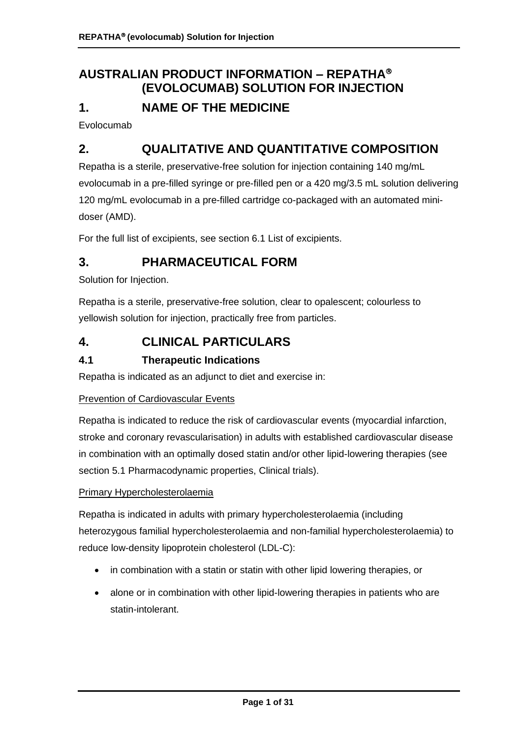# **AUSTRALIAN PRODUCT INFORMATION – REPATHA (EVOLOCUMAB) SOLUTION FOR INJECTION 1. NAME OF THE MEDICINE**

Evolocumab

# **2. QUALITATIVE AND QUANTITATIVE COMPOSITION**

Repatha is a sterile, preservative-free solution for injection containing 140 mg/mL evolocumab in a pre-filled syringe or pre-filled pen or a 420 mg/3.5 mL solution delivering 120 mg/mL evolocumab in a pre-filled cartridge co-packaged with an automated minidoser (AMD).

For the full list of excipients, see section 6.1 List of excipients.

# **3. PHARMACEUTICAL FORM**

Solution for Injection.

Repatha is a sterile, preservative-free solution, clear to opalescent; colourless to yellowish solution for injection, practically free from particles.

## **4. CLINICAL PARTICULARS**

## **4.1 Therapeutic Indications**

Repatha is indicated as an adjunct to diet and exercise in:

#### Prevention of Cardiovascular Events

Repatha is indicated to reduce the risk of cardiovascular events (myocardial infarction, stroke and coronary revascularisation) in adults with established cardiovascular disease in combination with an optimally dosed statin and/or other lipid-lowering therapies (see section 5.1 Pharmacodynamic properties, Clinical trials).

#### Primary Hypercholesterolaemia

Repatha is indicated in adults with primary hypercholesterolaemia (including heterozygous familial hypercholesterolaemia and non-familial hypercholesterolaemia) to reduce low-density lipoprotein cholesterol (LDL-C):

- in combination with a statin or statin with other lipid lowering therapies, or
- alone or in combination with other lipid-lowering therapies in patients who are statin-intolerant.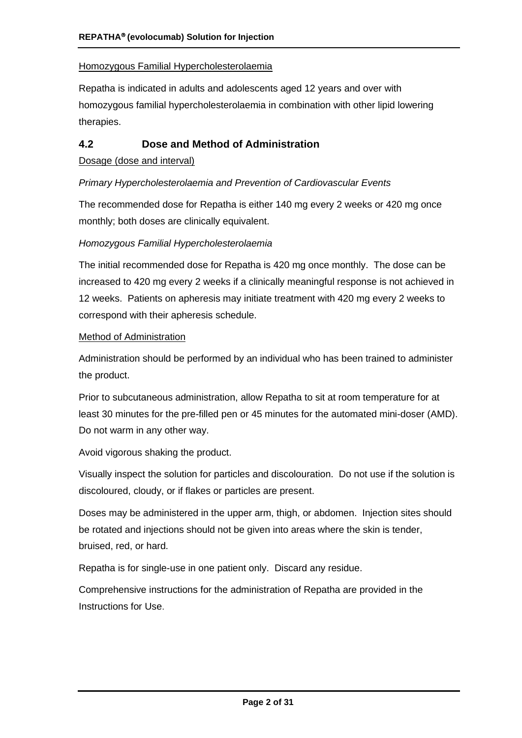### Homozygous Familial Hypercholesterolaemia

Repatha is indicated in adults and adolescents aged 12 years and over with homozygous familial hypercholesterolaemia in combination with other lipid lowering therapies.

## **4.2 Dose and Method of Administration**

#### Dosage (dose and interval)

#### *Primary Hypercholesterolaemia and Prevention of Cardiovascular Events*

The recommended dose for Repatha is either 140 mg every 2 weeks or 420 mg once monthly; both doses are clinically equivalent.

#### *Homozygous Familial Hypercholesterolaemia*

The initial recommended dose for Repatha is 420 mg once monthly. The dose can be increased to 420 mg every 2 weeks if a clinically meaningful response is not achieved in 12 weeks. Patients on apheresis may initiate treatment with 420 mg every 2 weeks to correspond with their apheresis schedule.

#### Method of Administration

Administration should be performed by an individual who has been trained to administer the product.

Prior to subcutaneous administration, allow Repatha to sit at room temperature for at least 30 minutes for the pre-filled pen or 45 minutes for the automated mini-doser (AMD). Do not warm in any other way.

Avoid vigorous shaking the product.

Visually inspect the solution for particles and discolouration. Do not use if the solution is discoloured, cloudy, or if flakes or particles are present.

Doses may be administered in the upper arm, thigh, or abdomen. Injection sites should be rotated and injections should not be given into areas where the skin is tender, bruised, red, or hard.

Repatha is for single-use in one patient only. Discard any residue.

Comprehensive instructions for the administration of Repatha are provided in the Instructions for Use.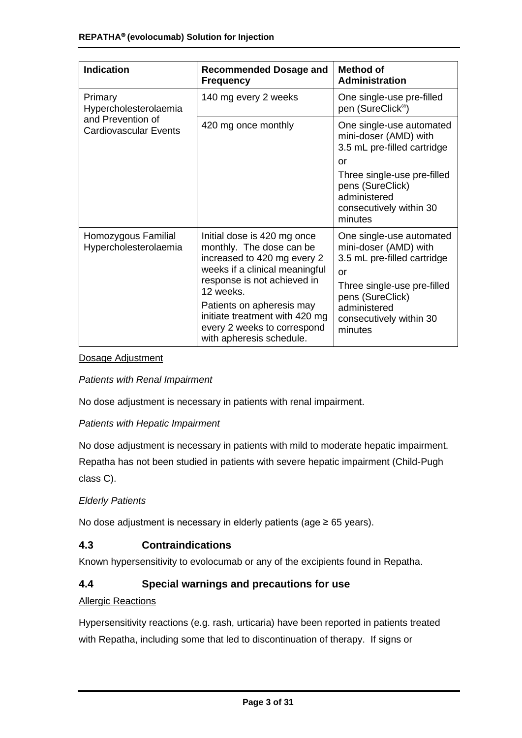| <b>Indication</b>                                 | <b>Recommended Dosage and</b><br><b>Frequency</b>                                                                                                                                                                                                                                              | Method of<br><b>Administration</b>                                                                                                                                                              |
|---------------------------------------------------|------------------------------------------------------------------------------------------------------------------------------------------------------------------------------------------------------------------------------------------------------------------------------------------------|-------------------------------------------------------------------------------------------------------------------------------------------------------------------------------------------------|
| Primary<br>Hypercholesterolaemia                  | 140 mg every 2 weeks                                                                                                                                                                                                                                                                           | One single-use pre-filled<br>pen (SureClick <sup>®</sup> )                                                                                                                                      |
| and Prevention of<br><b>Cardiovascular Events</b> | 420 mg once monthly                                                                                                                                                                                                                                                                            | One single-use automated<br>mini-doser (AMD) with<br>3.5 mL pre-filled cartridge                                                                                                                |
|                                                   |                                                                                                                                                                                                                                                                                                | or<br>Three single-use pre-filled<br>pens (SureClick)<br>administered<br>consecutively within 30<br>minutes                                                                                     |
| Homozygous Familial<br>Hypercholesterolaemia      | Initial dose is 420 mg once<br>monthly. The dose can be<br>increased to 420 mg every 2<br>weeks if a clinical meaningful<br>response is not achieved in<br>12 weeks.<br>Patients on apheresis may<br>initiate treatment with 420 mg<br>every 2 weeks to correspond<br>with apheresis schedule. | One single-use automated<br>mini-doser (AMD) with<br>3.5 mL pre-filled cartridge<br>or<br>Three single-use pre-filled<br>pens (SureClick)<br>administered<br>consecutively within 30<br>minutes |

#### Dosage Adjustment

#### *Patients with Renal Impairment*

No dose adjustment is necessary in patients with renal impairment.

#### *Patients with Hepatic Impairment*

No dose adjustment is necessary in patients with mild to moderate hepatic impairment. Repatha has not been studied in patients with severe hepatic impairment (Child-Pugh class C).

#### *Elderly Patients*

No dose adjustment is necessary in elderly patients (age ≥ 65 years).

#### **4.3 Contraindications**

Known hypersensitivity to evolocumab or any of the excipients found in Repatha.

#### **4.4 Special warnings and precautions for use**

#### **Allergic Reactions**

Hypersensitivity reactions (e.g. rash, urticaria) have been reported in patients treated with Repatha, including some that led to discontinuation of therapy. If signs or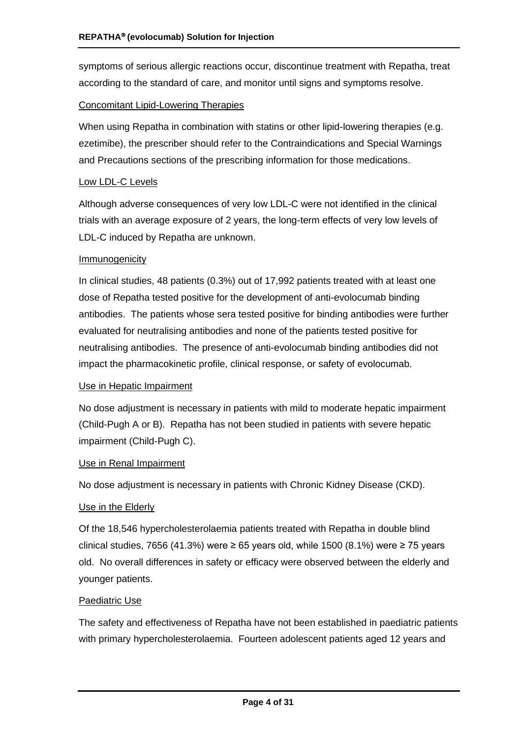symptoms of serious allergic reactions occur, discontinue treatment with Repatha, treat according to the standard of care, and monitor until signs and symptoms resolve.

#### Concomitant Lipid-Lowering Therapies

When using Repatha in combination with statins or other lipid-lowering therapies (e.g. ezetimibe), the prescriber should refer to the Contraindications and Special Warnings and Precautions sections of the prescribing information for those medications.

#### Low LDL-C Levels

Although adverse consequences of very low LDL-C were not identified in the clinical trials with an average exposure of 2 years, the long-term effects of very low levels of LDL-C induced by Repatha are unknown.

#### Immunogenicity

In clinical studies, 48 patients (0.3%) out of 17,992 patients treated with at least one dose of Repatha tested positive for the development of anti-evolocumab binding antibodies. The patients whose sera tested positive for binding antibodies were further evaluated for neutralising antibodies and none of the patients tested positive for neutralising antibodies. The presence of anti-evolocumab binding antibodies did not impact the pharmacokinetic profile, clinical response, or safety of evolocumab.

#### Use in Hepatic Impairment

No dose adjustment is necessary in patients with mild to moderate hepatic impairment (Child-Pugh A or B). Repatha has not been studied in patients with severe hepatic impairment (Child-Pugh C).

#### Use in Renal Impairment

No dose adjustment is necessary in patients with Chronic Kidney Disease (CKD).

#### Use in the Elderly

Of the 18,546 hypercholesterolaemia patients treated with Repatha in double blind clinical studies, 7656 (41.3%) were ≥ 65 years old, while 1500 (8.1%) were ≥ 75 years old. No overall differences in safety or efficacy were observed between the elderly and younger patients.

#### Paediatric Use

The safety and effectiveness of Repatha have not been established in paediatric patients with primary hypercholesterolaemia. Fourteen adolescent patients aged 12 years and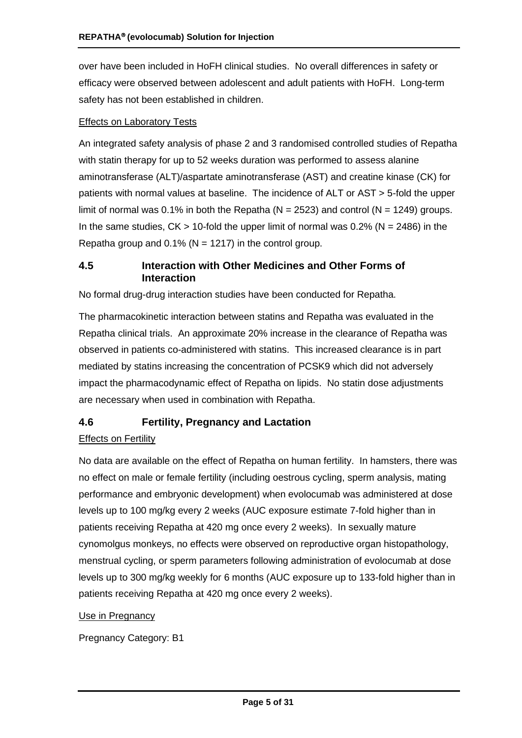over have been included in HoFH clinical studies. No overall differences in safety or efficacy were observed between adolescent and adult patients with HoFH. Long-term safety has not been established in children.

#### Effects on Laboratory Tests

An integrated safety analysis of phase 2 and 3 randomised controlled studies of Repatha with statin therapy for up to 52 weeks duration was performed to assess alanine aminotransferase (ALT)/aspartate aminotransferase (AST) and creatine kinase (CK) for patients with normal values at baseline. The incidence of ALT or AST > 5-fold the upper limit of normal was 0.1% in both the Repatha ( $N = 2523$ ) and control ( $N = 1249$ ) groups. In the same studies,  $CK > 10$ -fold the upper limit of normal was 0.2% ( $N = 2486$ ) in the Repatha group and  $0.1\%$  (N = 1217) in the control group.

### **4.5 Interaction with Other Medicines and Other Forms of Interaction**

No formal drug-drug interaction studies have been conducted for Repatha.

The pharmacokinetic interaction between statins and Repatha was evaluated in the Repatha clinical trials. An approximate 20% increase in the clearance of Repatha was observed in patients co-administered with statins. This increased clearance is in part mediated by statins increasing the concentration of PCSK9 which did not adversely impact the pharmacodynamic effect of Repatha on lipids. No statin dose adjustments are necessary when used in combination with Repatha.

#### **4.6 Fertility, Pregnancy and Lactation**

#### Effects on Fertility

No data are available on the effect of Repatha on human fertility. In hamsters, there was no effect on male or female fertility (including oestrous cycling, sperm analysis, mating performance and embryonic development) when evolocumab was administered at dose levels up to 100 mg/kg every 2 weeks (AUC exposure estimate 7-fold higher than in patients receiving Repatha at 420 mg once every 2 weeks). In sexually mature cynomolgus monkeys, no effects were observed on reproductive organ histopathology, menstrual cycling, or sperm parameters following administration of evolocumab at dose levels up to 300 mg/kg weekly for 6 months (AUC exposure up to 133-fold higher than in patients receiving Repatha at 420 mg once every 2 weeks).

#### Use in Pregnancy

Pregnancy Category: B1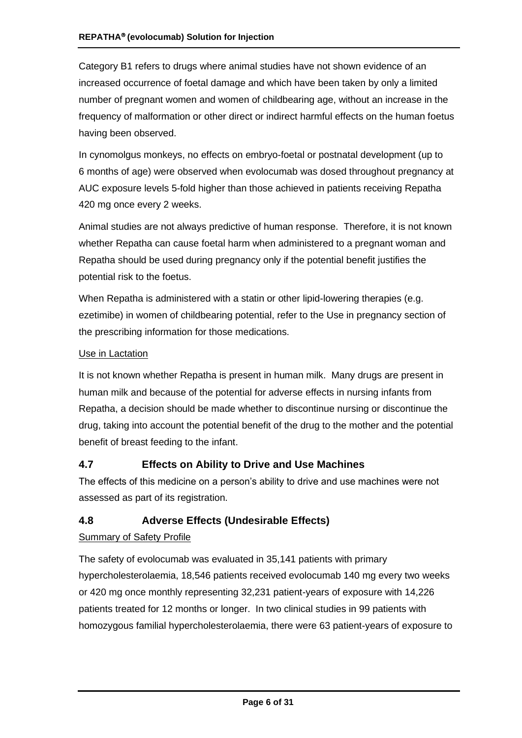Category B1 refers to drugs where animal studies have not shown evidence of an increased occurrence of foetal damage and which have been taken by only a limited number of pregnant women and women of childbearing age, without an increase in the frequency of malformation or other direct or indirect harmful effects on the human foetus having been observed.

In cynomolgus monkeys, no effects on embryo-foetal or postnatal development (up to 6 months of age) were observed when evolocumab was dosed throughout pregnancy at AUC exposure levels 5-fold higher than those achieved in patients receiving Repatha 420 mg once every 2 weeks.

Animal studies are not always predictive of human response. Therefore, it is not known whether Repatha can cause foetal harm when administered to a pregnant woman and Repatha should be used during pregnancy only if the potential benefit justifies the potential risk to the foetus.

When Repatha is administered with a statin or other lipid-lowering therapies (e.g. ezetimibe) in women of childbearing potential, refer to the Use in pregnancy section of the prescribing information for those medications.

#### Use in Lactation

It is not known whether Repatha is present in human milk. Many drugs are present in human milk and because of the potential for adverse effects in nursing infants from Repatha, a decision should be made whether to discontinue nursing or discontinue the drug, taking into account the potential benefit of the drug to the mother and the potential benefit of breast feeding to the infant.

## **4.7 Effects on Ability to Drive and Use Machines**

The effects of this medicine on a person's ability to drive and use machines were not assessed as part of its registration.

## **4.8 Adverse Effects (Undesirable Effects)**

## Summary of Safety Profile

The safety of evolocumab was evaluated in 35,141 patients with primary hypercholesterolaemia, 18,546 patients received evolocumab 140 mg every two weeks or 420 mg once monthly representing 32,231 patient-years of exposure with 14,226 patients treated for 12 months or longer. In two clinical studies in 99 patients with homozygous familial hypercholesterolaemia, there were 63 patient-years of exposure to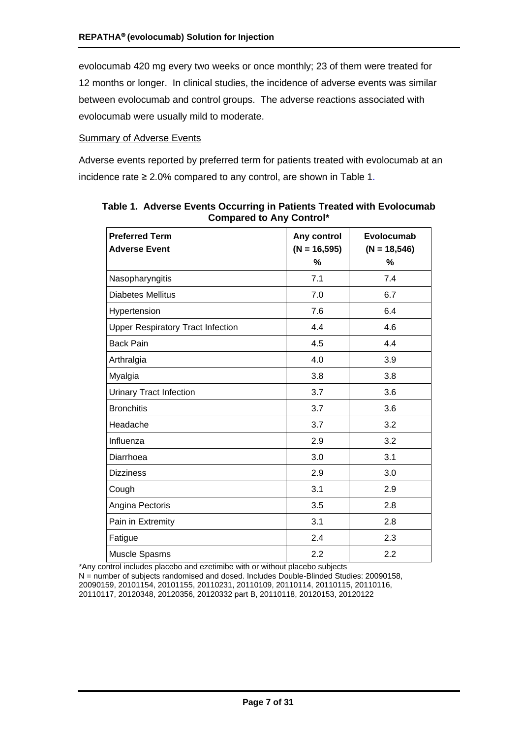evolocumab 420 mg every two weeks or once monthly; 23 of them were treated for 12 months or longer. In clinical studies, the incidence of adverse events was similar between evolocumab and control groups. The adverse reactions associated with evolocumab were usually mild to moderate.

#### **Summary of Adverse Events**

Adverse events reported by preferred term for patients treated with evolocumab at an incidence rate ≥ 2.0% compared to any control, are shown in [Table](#page-6-0) 1.

| <b>Preferred Term</b>                    | Any control     | Evolocumab     |  |  |
|------------------------------------------|-----------------|----------------|--|--|
| <b>Adverse Event</b>                     | $(N = 16, 595)$ | $(N = 18,546)$ |  |  |
|                                          | %               | %              |  |  |
| Nasopharyngitis                          | 7.1             | 7.4            |  |  |
| <b>Diabetes Mellitus</b>                 | 7.0             | 6.7            |  |  |
| Hypertension                             | 7.6             | 6.4            |  |  |
| <b>Upper Respiratory Tract Infection</b> | 4.4             | 4.6            |  |  |
| <b>Back Pain</b>                         | 4.5             | 4.4            |  |  |
| Arthralgia                               | 4.0             | 3.9            |  |  |
| Myalgia                                  | 3.8             | 3.8            |  |  |
| <b>Urinary Tract Infection</b>           | 3.7             | 3.6            |  |  |
| <b>Bronchitis</b>                        | 3.7             | 3.6            |  |  |
| Headache                                 | 3.7             | 3.2            |  |  |
| Influenza                                | 2.9             | 3.2            |  |  |
| Diarrhoea                                | 3.0             | 3.1            |  |  |
| <b>Dizziness</b>                         | 2.9             | 3.0            |  |  |
| Cough                                    | 3.1             | 2.9            |  |  |
| Angina Pectoris                          | 3.5             | 2.8            |  |  |
| Pain in Extremity                        | 3.1             | 2.8            |  |  |
| Fatigue                                  | 2.4             | 2.3            |  |  |
| Muscle Spasms                            | 2.2             | 2.2            |  |  |

<span id="page-6-0"></span>**Table 1. Adverse Events Occurring in Patients Treated with Evolocumab Compared to Any Control\***

\*Any control includes placebo and ezetimibe with or without placebo subjects N = number of subjects randomised and dosed. Includes Double-Blinded Studies: 20090158, 20090159, 20101154, 20101155, 20110231, 20110109, 20110114, 20110115, 20110116, 20110117, 20120348, 20120356, 20120332 part B, 20110118, 20120153, 20120122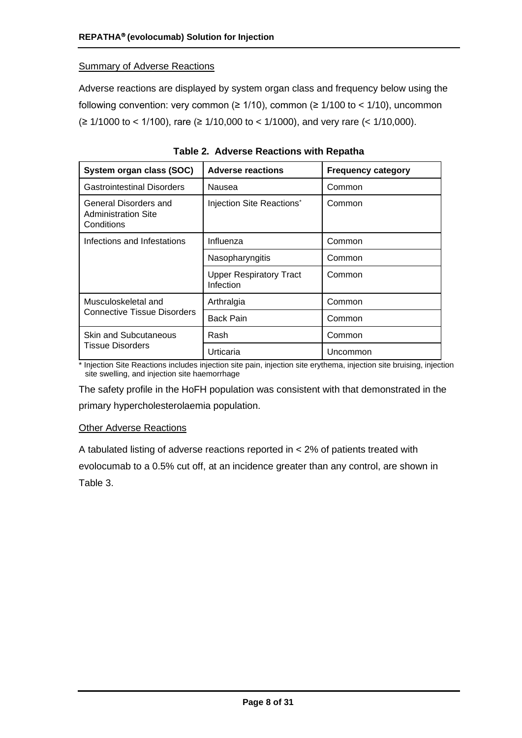#### Summary of Adverse Reactions

Adverse reactions are displayed by system organ class and frequency below using the following convention: very common ( $\geq 1/10$ ), common ( $\geq 1/100$  to < 1/10), uncommon  $\geq$  1/1000 to < 1/100), rare (≥ 1/10,000 to < 1/1000), and very rare (< 1/10,000).

| System organ class (SOC)                                          | <b>Adverse reactions</b>                    | <b>Frequency category</b> |  |  |
|-------------------------------------------------------------------|---------------------------------------------|---------------------------|--|--|
| <b>Gastrointestinal Disorders</b>                                 | Nausea                                      | Common                    |  |  |
| General Disorders and<br><b>Administration Site</b><br>Conditions | Injection Site Reactions*                   | Common                    |  |  |
| Infections and Infestations                                       | Influenza                                   | Common                    |  |  |
|                                                                   | Nasopharyngitis                             | Common                    |  |  |
|                                                                   | <b>Upper Respiratory Tract</b><br>Infection | Common                    |  |  |
| Musculoskeletal and                                               | Arthralgia                                  | Common                    |  |  |
| <b>Connective Tissue Disorders</b>                                | <b>Back Pain</b>                            | Common                    |  |  |
| <b>Skin and Subcutaneous</b>                                      | Rash                                        | Common                    |  |  |
| Tissue Disorders                                                  | Urticaria                                   | Uncommon                  |  |  |

**Table 2. Adverse Reactions with Repatha**

\* Injection Site Reactions includes injection site pain, injection site erythema, injection site bruising, injection site swelling, and injection site haemorrhage

The safety profile in the HoFH population was consistent with that demonstrated in the primary hypercholesterolaemia population.

#### Other Adverse Reactions

A tabulated listing of adverse reactions reported in < 2% of patients treated with evolocumab to a 0.5% cut off, at an incidence greater than any control, are shown in [Table](#page-8-0) 3.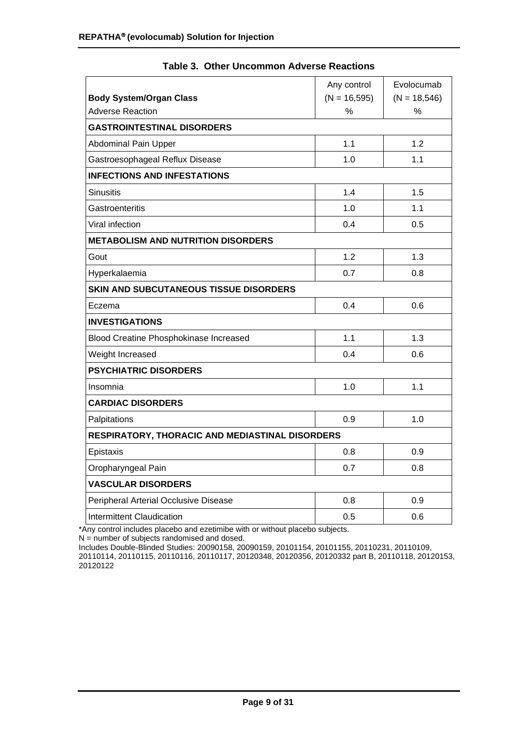<span id="page-8-0"></span>

|                                                 | Any control     | Evolocumab     |
|-------------------------------------------------|-----------------|----------------|
| <b>Body System/Organ Class</b>                  | $(N = 16, 595)$ | $(N = 18,546)$ |
| <b>Adverse Reaction</b>                         | %               | $\%$           |
| <b>GASTROINTESTINAL DISORDERS</b>               |                 |                |
| <b>Abdominal Pain Upper</b>                     | 1.1             | 1.2            |
| Gastroesophageal Reflux Disease                 | 1.0             | 1.1            |
| <b>INFECTIONS AND INFESTATIONS</b>              |                 |                |
| <b>Sinusitis</b>                                | 1.4             | 1.5            |
| Gastroenteritis                                 | 1.0             | 1.1            |
| Viral infection                                 | 0.4             | 0.5            |
| <b>METABOLISM AND NUTRITION DISORDERS</b>       |                 |                |
| Gout                                            | 1.2             | 1.3            |
| Hyperkalaemia                                   | 0.7             | 0.8            |
| <b>SKIN AND SUBCUTANEOUS TISSUE DISORDERS</b>   |                 |                |
| Eczema                                          | 0.4             | 0.6            |
| <b>INVESTIGATIONS</b>                           |                 |                |
| Blood Creatine Phosphokinase Increased          | 1.1             | 1.3            |
| Weight Increased                                | 0.4             | 0.6            |
| <b>PSYCHIATRIC DISORDERS</b>                    |                 |                |
| Insomnia                                        | 1.0             | 1.1            |
| <b>CARDIAC DISORDERS</b>                        |                 |                |
| Palpitations                                    | 0.9             | 1.0            |
| RESPIRATORY, THORACIC AND MEDIASTINAL DISORDERS |                 |                |
| Epistaxis                                       | 0.8             | 0.9            |
| Oropharyngeal Pain                              | 0.7             | 0.8            |
| <b>VASCULAR DISORDERS</b>                       |                 |                |
| Peripheral Arterial Occlusive Disease           | 0.8             | 0.9            |
| <b>Intermittent Claudication</b>                | 0.5             | 0.6            |

|  |  | <b>Table 3. Other Uncommon Adverse Reactions</b> |  |  |
|--|--|--------------------------------------------------|--|--|
|--|--|--------------------------------------------------|--|--|

\*Any control includes placebo and ezetimibe with or without placebo subjects.

N = number of subjects randomised and dosed.

Includes Double-Blinded Studies: 20090158, 20090159, 20101154, 20101155, 20110231, 20110109, 20110114, 20110115, 20110116, 20110117, 20120348, 20120356, 20120332 part B, 20110118, 20120153, 20120122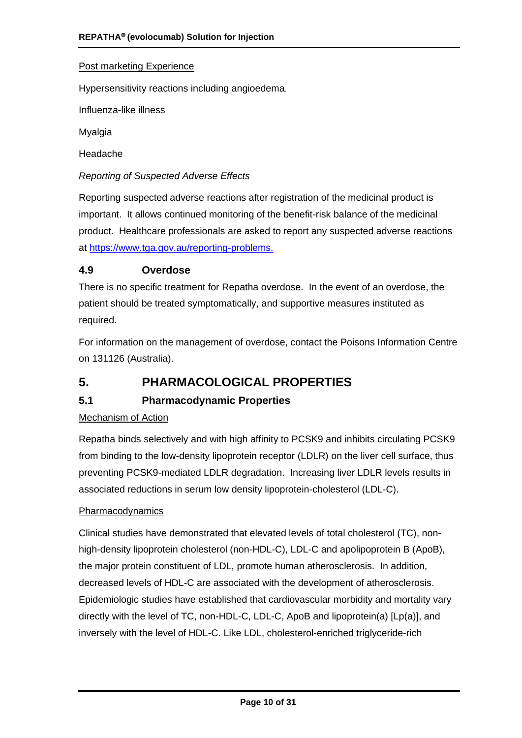#### Post marketing Experience

Hypersensitivity reactions including angioedema.

Influenza-like illness

Myalgia

Headache

*Reporting of Suspected Adverse Effects*

Reporting suspected adverse reactions after registration of the medicinal product is important. It allows continued monitoring of the benefit-risk balance of the medicinal product. Healthcare professionals are asked to report any suspected adverse reactions at [https://www.tga.gov.au/reporting-problems.](https://www.tga.gov.au/reporting-problems)

#### **4.9 Overdose**

There is no specific treatment for Repatha overdose. In the event of an overdose, the patient should be treated symptomatically, and supportive measures instituted as required.

For information on the management of overdose, contact the Poisons Information Centre on 131126 (Australia).

# **5. PHARMACOLOGICAL PROPERTIES**

## **5.1 Pharmacodynamic Properties**

#### Mechanism of Action

Repatha binds selectively and with high affinity to PCSK9 and inhibits circulating PCSK9 from binding to the low-density lipoprotein receptor (LDLR) on the liver cell surface, thus preventing PCSK9-mediated LDLR degradation. Increasing liver LDLR levels results in associated reductions in serum low density lipoprotein-cholesterol (LDL-C).

#### **Pharmacodynamics**

Clinical studies have demonstrated that elevated levels of total cholesterol (TC), nonhigh-density lipoprotein cholesterol (non-HDL-C), LDL-C and apolipoprotein B (ApoB), the major protein constituent of LDL, promote human atherosclerosis. In addition, decreased levels of HDL-C are associated with the development of atherosclerosis. Epidemiologic studies have established that cardiovascular morbidity and mortality vary directly with the level of TC, non-HDL-C, LDL-C, ApoB and lipoprotein(a) [Lp(a)], and inversely with the level of HDL-C. Like LDL, cholesterol-enriched triglyceride-rich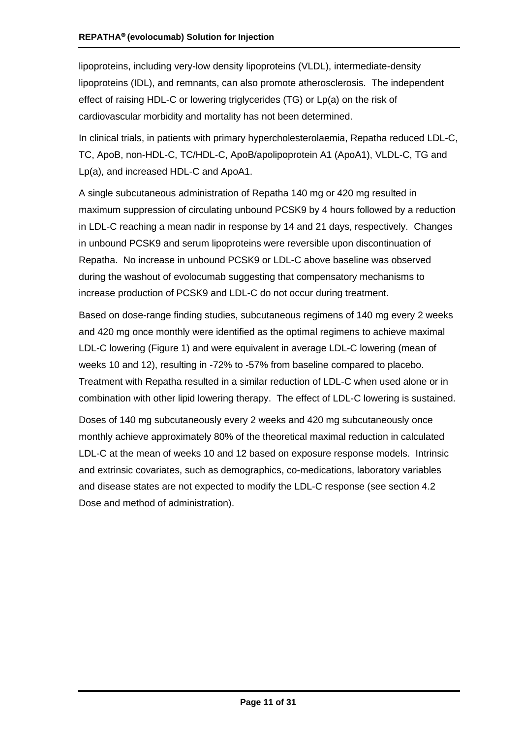lipoproteins, including very-low density lipoproteins (VLDL), intermediate-density lipoproteins (IDL), and remnants, can also promote atherosclerosis. The independent effect of raising HDL-C or lowering triglycerides (TG) or Lp(a) on the risk of cardiovascular morbidity and mortality has not been determined.

In clinical trials, in patients with primary hypercholesterolaemia, Repatha reduced LDL-C, TC, ApoB, non-HDL-C, TC/HDL-C, ApoB/apolipoprotein A1 (ApoA1), VLDL-C, TG and Lp(a), and increased HDL-C and ApoA1.

A single subcutaneous administration of Repatha 140 mg or 420 mg resulted in maximum suppression of circulating unbound PCSK9 by 4 hours followed by a reduction in LDL-C reaching a mean nadir in response by 14 and 21 days, respectively. Changes in unbound PCSK9 and serum lipoproteins were reversible upon discontinuation of Repatha. No increase in unbound PCSK9 or LDL-C above baseline was observed during the washout of evolocumab suggesting that compensatory mechanisms to increase production of PCSK9 and LDL-C do not occur during treatment.

Based on dose-range finding studies, subcutaneous regimens of 140 mg every 2 weeks and 420 mg once monthly were identified as the optimal regimens to achieve maximal LDL-C lowering [\(Figure 1\)](#page-11-0) and were equivalent in average LDL-C lowering (mean of weeks 10 and 12), resulting in -72% to -57% from baseline compared to placebo. Treatment with Repatha resulted in a similar reduction of LDL-C when used alone or in combination with other lipid lowering therapy. The effect of LDL-C lowering is sustained.

Doses of 140 mg subcutaneously every 2 weeks and 420 mg subcutaneously once monthly achieve approximately 80% of the theoretical maximal reduction in calculated LDL-C at the mean of weeks 10 and 12 based on exposure response models. Intrinsic and extrinsic covariates, such as demographics, co-medications, laboratory variables and disease states are not expected to modify the LDL-C response (see section 4.2 Dose and method of administration).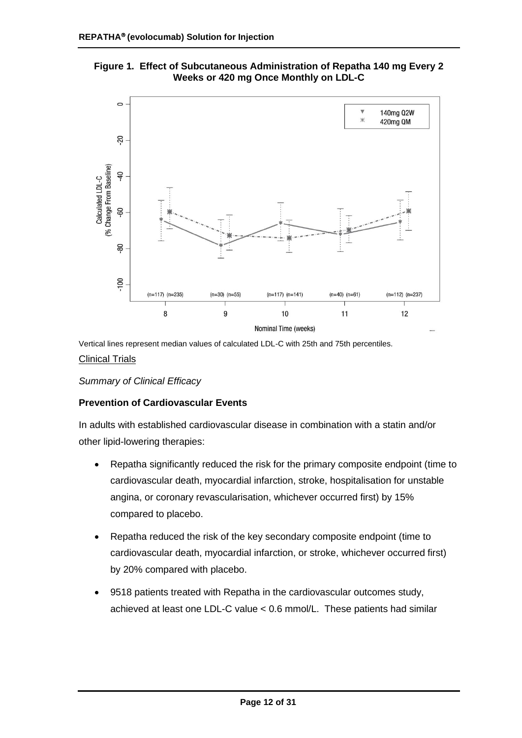<span id="page-11-0"></span>



Vertical lines represent median values of calculated LDL-C with 25th and 75th percentiles.

#### Clinical Trials

*Summary of Clinical Efficacy*

#### **Prevention of Cardiovascular Events**

In adults with established cardiovascular disease in combination with a statin and/or other lipid-lowering therapies:

- Repatha significantly reduced the risk for the primary composite endpoint (time to cardiovascular death, myocardial infarction, stroke, hospitalisation for unstable angina, or coronary revascularisation, whichever occurred first) by 15% compared to placebo.
- Repatha reduced the risk of the key secondary composite endpoint (time to cardiovascular death, myocardial infarction, or stroke, whichever occurred first) by 20% compared with placebo.
- 9518 patients treated with Repatha in the cardiovascular outcomes study, achieved at least one LDL-C value < 0.6 mmol/L. These patients had similar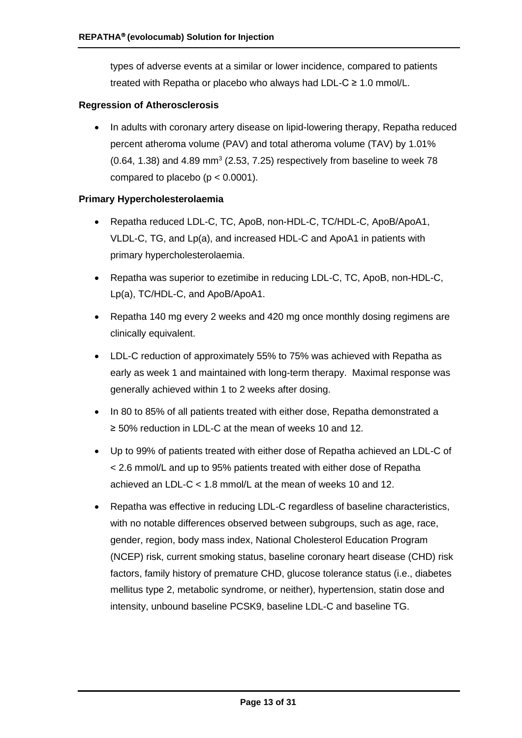types of adverse events at a similar or lower incidence, compared to patients treated with Repatha or placebo who always had LDL-C ≥ 1.0 mmol/L.

#### **Regression of Atherosclerosis**

• In adults with coronary artery disease on lipid-lowering therapy, Repatha reduced percent atheroma volume (PAV) and total atheroma volume (TAV) by 1.01%  $(0.64, 1.38)$  and  $4.89$  mm<sup>3</sup>  $(2.53, 7.25)$  respectively from baseline to week 78 compared to placebo ( $p < 0.0001$ ).

#### **Primary Hypercholesterolaemia**

- Repatha reduced LDL-C, TC, ApoB, non-HDL-C, TC/HDL-C, ApoB/ApoA1, VLDL-C, TG, and Lp(a), and increased HDL-C and ApoA1 in patients with primary hypercholesterolaemia.
- Repatha was superior to ezetimibe in reducing LDL-C, TC, ApoB, non-HDL-C, Lp(a), TC/HDL-C, and ApoB/ApoA1.
- Repatha 140 mg every 2 weeks and 420 mg once monthly dosing regimens are clinically equivalent.
- LDL-C reduction of approximately 55% to 75% was achieved with Repatha as early as week 1 and maintained with long-term therapy. Maximal response was generally achieved within 1 to 2 weeks after dosing.
- In 80 to 85% of all patients treated with either dose, Repatha demonstrated a ≥ 50% reduction in LDL-C at the mean of weeks 10 and 12.
- Up to 99% of patients treated with either dose of Repatha achieved an LDL-C of < 2.6 mmol/L and up to 95% patients treated with either dose of Repatha achieved an LDL-C < 1.8 mmol/L at the mean of weeks 10 and 12.
- Repatha was effective in reducing LDL-C regardless of baseline characteristics, with no notable differences observed between subgroups, such as age, race, gender, region, body mass index, National Cholesterol Education Program (NCEP) risk, current smoking status, baseline coronary heart disease (CHD) risk factors, family history of premature CHD, glucose tolerance status (i.e., diabetes mellitus type 2, metabolic syndrome, or neither), hypertension, statin dose and intensity, unbound baseline PCSK9, baseline LDL-C and baseline TG.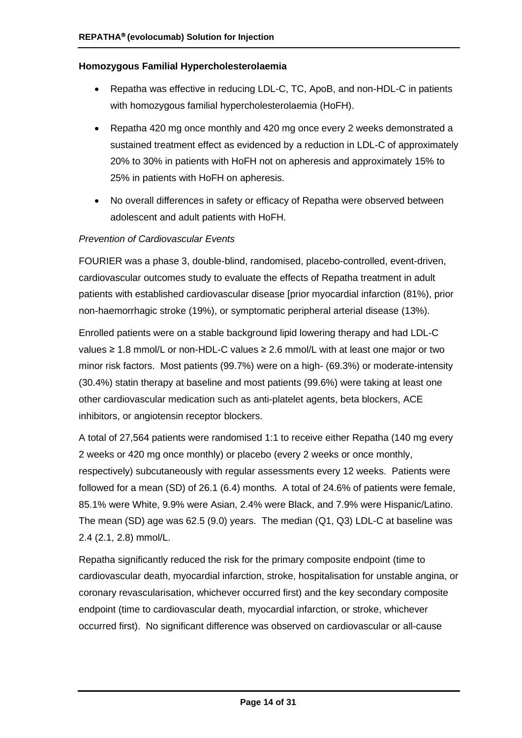#### **Homozygous Familial Hypercholesterolaemia**

- Repatha was effective in reducing LDL-C, TC, ApoB, and non-HDL-C in patients with homozygous familial hypercholesterolaemia (HoFH).
- Repatha 420 mg once monthly and 420 mg once every 2 weeks demonstrated a sustained treatment effect as evidenced by a reduction in LDL-C of approximately 20% to 30% in patients with HoFH not on apheresis and approximately 15% to 25% in patients with HoFH on apheresis.
- No overall differences in safety or efficacy of Repatha were observed between adolescent and adult patients with HoFH.

#### *Prevention of Cardiovascular Events*

FOURIER was a phase 3, double-blind, randomised, placebo-controlled, event-driven, cardiovascular outcomes study to evaluate the effects of Repatha treatment in adult patients with established cardiovascular disease [prior myocardial infarction (81%), prior non-haemorrhagic stroke (19%), or symptomatic peripheral arterial disease (13%).

Enrolled patients were on a stable background lipid lowering therapy and had LDL-C values  $\geq$  1.8 mmol/L or non-HDL-C values  $\geq$  2.6 mmol/L with at least one major or two minor risk factors. Most patients (99.7%) were on a high- (69.3%) or moderate-intensity (30.4%) statin therapy at baseline and most patients (99.6%) were taking at least one other cardiovascular medication such as anti-platelet agents, beta blockers, ACE inhibitors, or angiotensin receptor blockers.

A total of 27,564 patients were randomised 1:1 to receive either Repatha (140 mg every 2 weeks or 420 mg once monthly) or placebo (every 2 weeks or once monthly, respectively) subcutaneously with regular assessments every 12 weeks. Patients were followed for a mean (SD) of 26.1 (6.4) months. A total of 24.6% of patients were female, 85.1% were White, 9.9% were Asian, 2.4% were Black, and 7.9% were Hispanic/Latino. The mean (SD) age was 62.5 (9.0) years. The median (Q1, Q3) LDL-C at baseline was 2.4 (2.1, 2.8) mmol/L.

Repatha significantly reduced the risk for the primary composite endpoint (time to cardiovascular death, myocardial infarction, stroke, hospitalisation for unstable angina, or coronary revascularisation, whichever occurred first) and the key secondary composite endpoint (time to cardiovascular death, myocardial infarction, or stroke, whichever occurred first). No significant difference was observed on cardiovascular or all-cause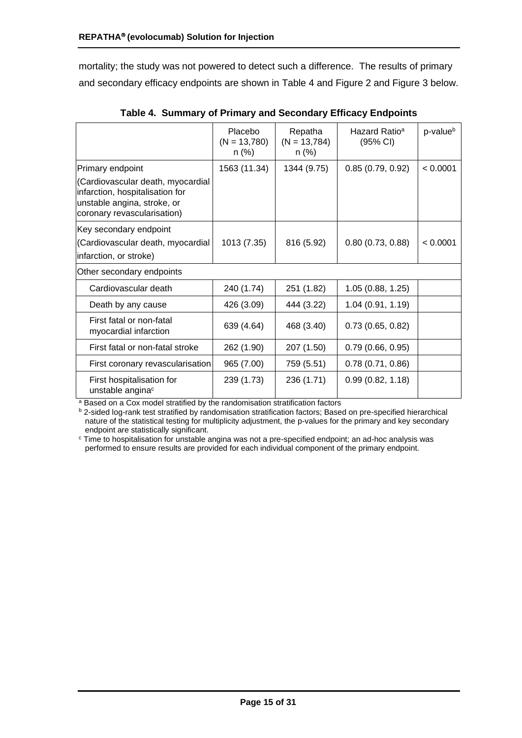mortality; the study was not powered to detect such a difference. The results of primary and secondary efficacy endpoints are shown in [Table 4](#page-14-0) and Figure 2 and [Figure 3](#page-15-0) below.

<span id="page-14-0"></span>

|                                                                                                                                    | Placebo<br>$(N = 13,780)$<br>n (%) | Repatha<br>$(N = 13,784)$<br>n (%) | Hazard Ratio <sup>a</sup><br>(95% CI) | p-value <sup>b</sup> |
|------------------------------------------------------------------------------------------------------------------------------------|------------------------------------|------------------------------------|---------------------------------------|----------------------|
| Primary endpoint                                                                                                                   | 1563 (11.34)                       | 1344 (9.75)                        | 0.85(0.79, 0.92)                      | < 0.0001             |
| (Cardiovascular death, myocardial<br>infarction, hospitalisation for<br>unstable angina, stroke, or<br>coronary revascularisation) |                                    |                                    |                                       |                      |
| Key secondary endpoint                                                                                                             |                                    |                                    |                                       |                      |
| (Cardiovascular death, myocardial<br>infarction, or stroke)                                                                        | 1013 (7.35)                        | 816 (5.92)                         | 0.80(0.73, 0.88)                      | < 0.0001             |
| Other secondary endpoints                                                                                                          |                                    |                                    |                                       |                      |
| Cardiovascular death                                                                                                               | 240 (1.74)                         | 251 (1.82)                         | 1.05(0.88, 1.25)                      |                      |
| Death by any cause                                                                                                                 | 426 (3.09)                         | 444 (3.22)                         | 1.04 (0.91, 1.19)                     |                      |
| First fatal or non-fatal<br>myocardial infarction                                                                                  | 639 (4.64)                         | 468 (3.40)                         | 0.73(0.65, 0.82)                      |                      |
| First fatal or non-fatal stroke                                                                                                    | 262 (1.90)                         | 207 (1.50)                         | 0.79(0.66, 0.95)                      |                      |
| First coronary revascularisation                                                                                                   | 965 (7.00)                         | 759 (5.51)                         | 0.78(0.71, 0.86)                      |                      |
| First hospitalisation for<br>unstable angina <sup>c</sup>                                                                          | 239 (1.73)                         | 236 (1.71)                         | 0.99(0.82, 1.18)                      |                      |

**Table 4. Summary of Primary and Secondary Efficacy Endpoints**

**a Based on a Cox model stratified by the randomisation stratification factors** 

**b** 2-sided log-rank test stratified by randomisation stratification factors; Based on pre-specified hierarchical nature of the statistical testing for multiplicity adjustment, the p-values for the primary and key secondary endpoint are statistically significant.

<sup>c</sup> Time to hospitalisation for unstable angina was not a pre-specified endpoint; an ad-hoc analysis was performed to ensure results are provided for each individual component of the primary endpoint.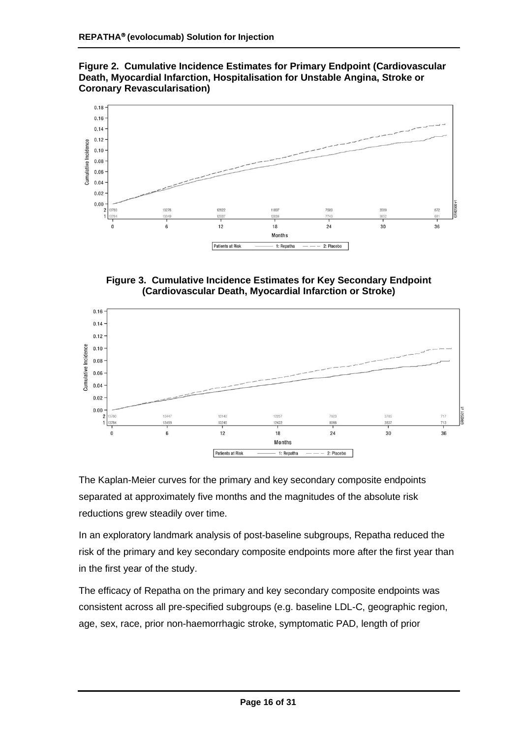**Figure 2. Cumulative Incidence Estimates for Primary Endpoint (Cardiovascular Death, Myocardial Infarction, Hospitalisation for Unstable Angina, Stroke or Coronary Revascularisation)**



**Figure 3. Cumulative Incidence Estimates for Key Secondary Endpoint (Cardiovascular Death, Myocardial Infarction or Stroke)**

<span id="page-15-0"></span>

The Kaplan-Meier curves for the primary and key secondary composite endpoints separated at approximately five months and the magnitudes of the absolute risk reductions grew steadily over time.

In an exploratory landmark analysis of post-baseline subgroups, Repatha reduced the risk of the primary and key secondary composite endpoints more after the first year than in the first year of the study.

The efficacy of Repatha on the primary and key secondary composite endpoints was consistent across all pre-specified subgroups (e.g. baseline LDL-C, geographic region, age, sex, race, prior non-haemorrhagic stroke, symptomatic PAD, length of prior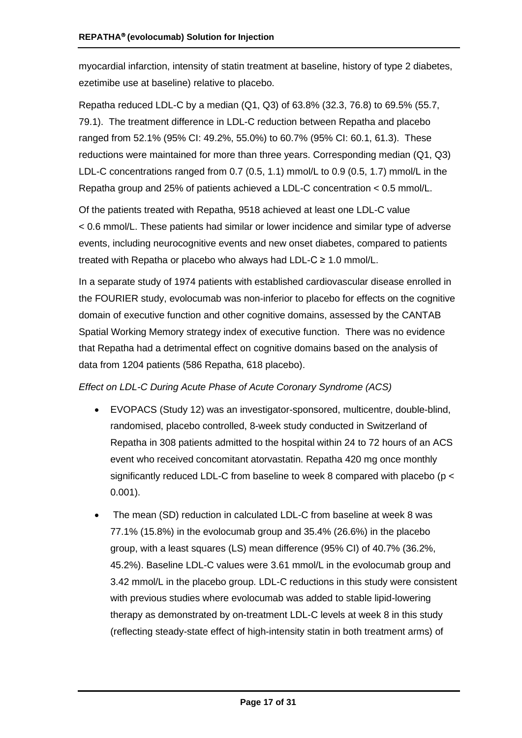myocardial infarction, intensity of statin treatment at baseline, history of type 2 diabetes, ezetimibe use at baseline) relative to placebo.

Repatha reduced LDL-C by a median (Q1, Q3) of 63.8% (32.3, 76.8) to 69.5% (55.7, 79.1). The treatment difference in LDL-C reduction between Repatha and placebo ranged from 52.1% (95% CI: 49.2%, 55.0%) to 60.7% (95% CI: 60.1, 61.3). These reductions were maintained for more than three years. Corresponding median (Q1, Q3) LDL-C concentrations ranged from 0.7 (0.5, 1.1) mmol/L to 0.9 (0.5, 1.7) mmol/L in the Repatha group and 25% of patients achieved a LDL-C concentration < 0.5 mmol/L.

Of the patients treated with Repatha, 9518 achieved at least one LDL-C value < 0.6 mmol/L. These patients had similar or lower incidence and similar type of adverse events, including neurocognitive events and new onset diabetes, compared to patients treated with Repatha or placebo who always had LDL-C ≥ 1.0 mmol/L.

In a separate study of 1974 patients with established cardiovascular disease enrolled in the FOURIER study, evolocumab was non-inferior to placebo for effects on the cognitive domain of executive function and other cognitive domains, assessed by the CANTAB Spatial Working Memory strategy index of executive function. There was no evidence that Repatha had a detrimental effect on cognitive domains based on the analysis of data from 1204 patients (586 Repatha, 618 placebo).

#### *Effect on LDL-C During Acute Phase of Acute Coronary Syndrome (ACS)*

- EVOPACS (Study 12) was an investigator-sponsored, multicentre, double-blind, randomised, placebo controlled, 8-week study conducted in Switzerland of Repatha in 308 patients admitted to the hospital within 24 to 72 hours of an ACS event who received concomitant atorvastatin. Repatha 420 mg once monthly significantly reduced LDL-C from baseline to week 8 compared with placebo (p < 0.001).
- The mean (SD) reduction in calculated LDL-C from baseline at week 8 was 77.1% (15.8%) in the evolocumab group and 35.4% (26.6%) in the placebo group, with a least squares (LS) mean difference (95% CI) of 40.7% (36.2%, 45.2%). Baseline LDL-C values were 3.61 mmol/L in the evolocumab group and 3.42 mmol/L in the placebo group. LDL-C reductions in this study were consistent with previous studies where evolocumab was added to stable lipid-lowering therapy as demonstrated by on-treatment LDL-C levels at week 8 in this study (reflecting steady-state effect of high-intensity statin in both treatment arms) of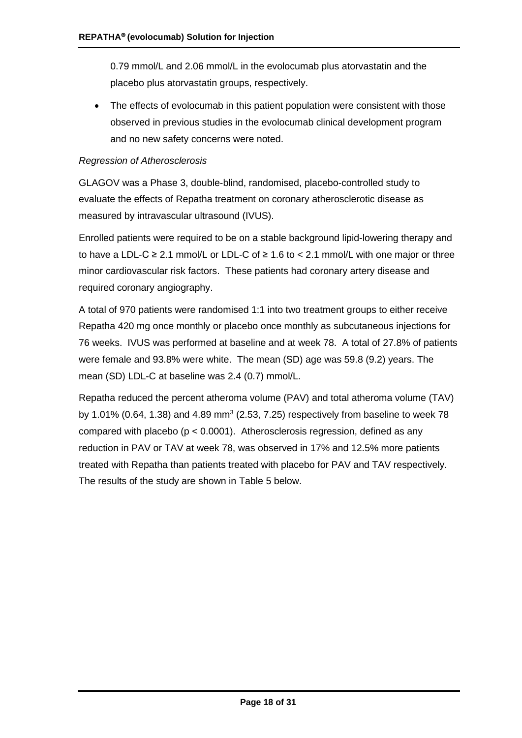0.79 mmol/L and 2.06 mmol/L in the evolocumab plus atorvastatin and the placebo plus atorvastatin groups, respectively.

• The effects of evolocumab in this patient population were consistent with those observed in previous studies in the evolocumab clinical development program and no new safety concerns were noted.

#### *Regression of Atherosclerosis*

GLAGOV was a Phase 3, double-blind, randomised, placebo-controlled study to evaluate the effects of Repatha treatment on coronary atherosclerotic disease as measured by intravascular ultrasound (IVUS).

Enrolled patients were required to be on a stable background lipid-lowering therapy and to have a LDL-C ≥ 2.1 mmol/L or LDL-C of ≥ 1.6 to < 2.1 mmol/L with one major or three minor cardiovascular risk factors. These patients had coronary artery disease and required coronary angiography.

A total of 970 patients were randomised 1:1 into two treatment groups to either receive Repatha 420 mg once monthly or placebo once monthly as subcutaneous injections for 76 weeks. IVUS was performed at baseline and at week 78. A total of 27.8% of patients were female and 93.8% were white. The mean (SD) age was 59.8 (9.2) years. The mean (SD) LDL-C at baseline was 2.4 (0.7) mmol/L.

Repatha reduced the percent atheroma volume (PAV) and total atheroma volume (TAV) by 1.01% (0.64, 1.38) and 4.89 mm<sup>3</sup> (2.53, 7.25) respectively from baseline to week 78 compared with placebo (p < 0.0001). Atherosclerosis regression, defined as any reduction in PAV or TAV at week 78, was observed in 17% and 12.5% more patients treated with Repatha than patients treated with placebo for PAV and TAV respectively. The results of the study are shown in [Table 5](#page-18-0) below.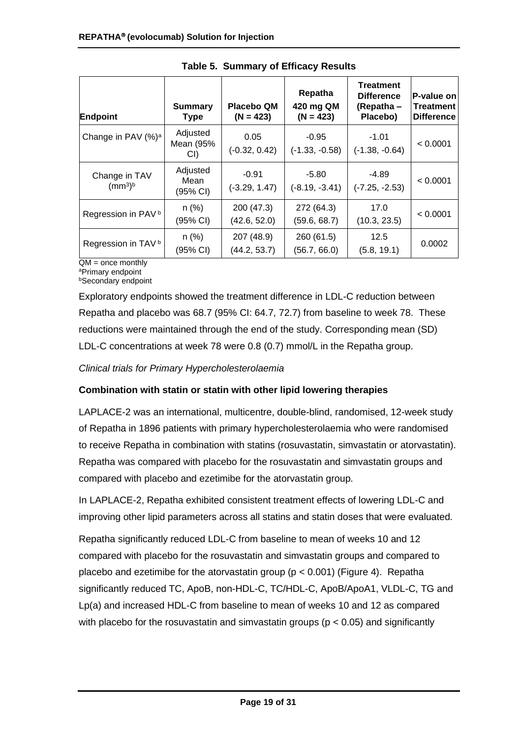<span id="page-18-0"></span>

| Endpoint                                         | <b>Summary</b><br><b>Type</b>          | <b>Placebo QM</b><br>$(N = 423)$ | Repatha<br>420 mg QM<br>$(N = 423)$ | <b>Treatment</b><br><b>Difference</b><br>(Repatha –<br>Placebo) | P-value on<br>Treatment<br><b>Difference</b> |
|--------------------------------------------------|----------------------------------------|----------------------------------|-------------------------------------|-----------------------------------------------------------------|----------------------------------------------|
| Change in PAV (%) <sup>a</sup>                   | Adjusted<br>Mean (95%<br>CI)           | 0.05<br>$(-0.32, 0.42)$          | $-0.95$<br>$(-1.33, -0.58)$         | $-1.01$<br>$(-1.38, -0.64)$                                     | < 0.0001                                     |
| Change in TAV<br>(mm <sup>3</sup> ) <sup>b</sup> | Adjusted<br>Mean<br>$(95% \text{ Cl})$ | $-0.91$<br>$(-3.29, 1.47)$       | $-5.80$<br>$(-8.19, -3.41)$         | -4.89<br>$(-7.25, -2.53)$                                       | < 0.0001                                     |
| Regression in PAV <sup>b</sup>                   | n (%)<br>$(95% \text{ Cl})$            | 200 (47.3)<br>(42.6, 52.0)       | 272 (64.3)<br>(59.6, 68.7)          | 17.0<br>(10.3, 23.5)                                            | < 0.0001                                     |
| Regression in TAV <sup>b</sup>                   | n (%)<br>(95% CI)                      | 207 (48.9)<br>(44.2, 53.7)       | 260 (61.5)<br>(56.7, 66.0)          | 12.5<br>(5.8, 19.1)                                             | 0.0002                                       |

**Table 5. Summary of Efficacy Results**

 $\overline{QM}$  = once monthly <sup>a</sup>Primary endpoint

**bSecondary endpoint** 

Exploratory endpoints showed the treatment difference in LDL-C reduction between Repatha and placebo was 68.7 (95% CI: 64.7, 72.7) from baseline to week 78. These reductions were maintained through the end of the study. Corresponding mean (SD) LDL-C concentrations at week 78 were 0.8 (0.7) mmol/L in the Repatha group.

*Clinical trials for Primary Hypercholesterolaemia* 

## **Combination with statin or statin with other lipid lowering therapies**

LAPLACE-2 was an international, multicentre, double-blind, randomised, 12-week study of Repatha in 1896 patients with primary hypercholesterolaemia who were randomised to receive Repatha in combination with statins (rosuvastatin, simvastatin or atorvastatin). Repatha was compared with placebo for the rosuvastatin and simvastatin groups and compared with placebo and ezetimibe for the atorvastatin group.

In LAPLACE-2, Repatha exhibited consistent treatment effects of lowering LDL-C and improving other lipid parameters across all statins and statin doses that were evaluated.

Repatha significantly reduced LDL-C from baseline to mean of weeks 10 and 12 compared with placebo for the rosuvastatin and simvastatin groups and compared to placebo and ezetimibe for the atorvastatin group ( $p < 0.001$ ) [\(Figure 4\)](#page-19-0). Repatha significantly reduced TC, ApoB, non-HDL-C, TC/HDL-C, ApoB/ApoA1, VLDL-C, TG and Lp(a) and increased HDL-C from baseline to mean of weeks 10 and 12 as compared with placebo for the rosuvastatin and simvastatin groups ( $p < 0.05$ ) and significantly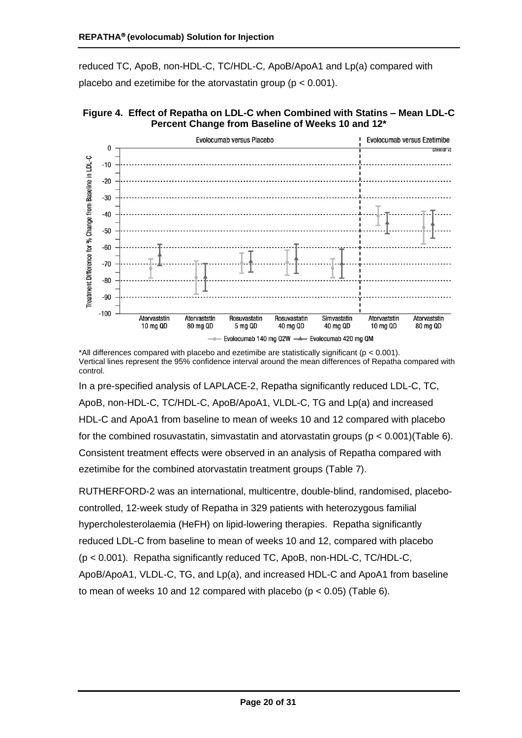reduced TC, ApoB, non-HDL-C, TC/HDL-C, ApoB/ApoA1 and Lp(a) compared with placebo and ezetimibe for the atorvastatin group ( $p < 0.001$ ).

<span id="page-19-0"></span>



\*All differences compared with placebo and ezetimibe are statistically significant (p < 0.001). Vertical lines represent the 95% confidence interval around the mean differences of Repatha compared with control.

In a pre-specified analysis of LAPLACE-2, Repatha significantly reduced LDL-C, TC, ApoB, non-HDL-C, TC/HDL-C, ApoB/ApoA1, VLDL-C, TG and Lp(a) and increased HDL-C and ApoA1 from baseline to mean of weeks 10 and 12 compared with placebo for the combined rosuvastatin, simvastatin and atorvastatin groups ( $p < 0.001$ )[\(Table 6\)](#page-20-0). Consistent treatment effects were observed in an analysis of Repatha compared with ezetimibe for the combined atorvastatin treatment groups [\(Table 7\)](#page-21-0).

RUTHERFORD-2 was an international, multicentre, double-blind, randomised, placebocontrolled, 12-week study of Repatha in 329 patients with heterozygous familial hypercholesterolaemia (HeFH) on lipid-lowering therapies. Repatha significantly reduced LDL-C from baseline to mean of weeks 10 and 12, compared with placebo (p < 0.001). Repatha significantly reduced TC, ApoB, non-HDL-C, TC/HDL-C, ApoB/ApoA1, VLDL-C, TG, and Lp(a), and increased HDL-C and ApoA1 from baseline to mean of weeks 10 and 12 compared with placebo  $(p < 0.05)$  [\(Table 6\)](#page-20-0).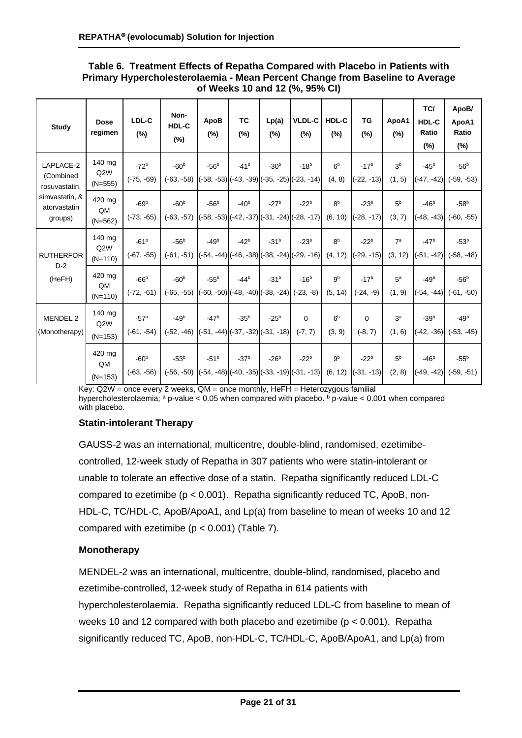#### <span id="page-20-0"></span>**Table 6. Treatment Effects of Repatha Compared with Placebo in Patients with Primary Hypercholesterolaemia - Mean Percent Change from Baseline to Average of Weeks 10 and 12 (%, 95% CI)**

| <b>Study</b>                              | <b>Dose</b><br>regimen                  | LDL-C<br>$(\%)$           | Non-<br>HDL-C<br>$(\%)$ | ApoB<br>(%) | ТC<br>(%)                                        | Lp(a)<br>(%) | <b>VLDL-C</b><br>(%)                                             | HDL-C<br>(%)              | TG<br>(%)                 | ApoA1<br>(%)              | TC/<br>HDL-C<br>Ratio<br>(%) | ApoB/<br>ApoA1<br>Ratio<br>$(\%)$ |
|-------------------------------------------|-----------------------------------------|---------------------------|-------------------------|-------------|--------------------------------------------------|--------------|------------------------------------------------------------------|---------------------------|---------------------------|---------------------------|------------------------------|-----------------------------------|
| LAPLACE-2<br>(Combined<br>rosuvastatin,   | 140 mg<br>Q2W<br>$(N=555)$              | $-72^{b}$<br>$(-75, -69)$ | $-60b$<br>$(-63, -58)$  | $-56b$      | $-41^{b}$                                        | $-30b$       | $-18^{b}$<br>$(-58, -53)$ $(-43, -39)$ $(-35, -25)$ $(-23, -14)$ | 6 <sup>b</sup><br>(4, 8)  | $-17^{b}$<br>$(-22, -13)$ | 3 <sup>b</sup><br>(1, 5)  | $-45^{b}$<br>$-47, -42)$     | $-56b$<br>$(-59, -53)$            |
| simvastatin, &<br>atorvastatin<br>groups) | 420 mg<br>QM<br>$(N=562)$               | $-69b$<br>$(-73, -65)$    | $-60b$<br>$(-63, -57)$  | $-56b$      | $-40b$                                           | $-27^{b}$    | $-22b$<br>$(-58, -53)$ $(-42, -37)$ $(-31, -24)$ $(-28, -17)$    | 8 <sup>b</sup><br>(6, 10) | $-23b$<br>$-28, -17$      | 5 <sup>b</sup><br>(3, 7)  | $-46b$<br>$-48, -43$         | $-58b$<br>$(-60, -55)$            |
| <b>RUTHERFOR</b>                          | 140 mg<br>Q2W<br>$(N=110)$              | $-61^{b}$<br>$(-67, -55)$ | $-56b$<br>$(-61, -51)$  | $-49b$      | $-42b$                                           | $-31^{b}$    | $-23b$<br>$[-54, -44]$ $(-46, -38)$ $(-38, -24)$ $(-29, -16)$    | 8 <sup>b</sup><br>(4, 12) | $-22b$<br>$-29, -15$      | 7 <sup>a</sup><br>(3, 12) | $-47b$<br>$-51, -42)$        | $-53b$<br>$(-58, -48)$            |
| $D-2$<br>(HeFH)                           | 420 mg<br>QM<br>$(N=110)$               | $-66b$<br>$(-72, -61)$    | $-60b$<br>$(-65, -55)$  | $-55b$      | $-44b$<br>$(-60, -50)$ $(-48, -40)$ $(-38, -24)$ | $-31^{b}$    | $-16^{b}$<br>$(-23, -8)$                                         | 9 <sup>b</sup><br>(5, 14) | $-17^{b}$<br>$(-24, -9)$  | 5 <sup>a</sup><br>(1, 9)  | $-49b$<br>$-54, -44$         | $-56b$<br>$(-61, -50)$            |
| <b>MENDEL 2</b><br>(Monotherapy)          | 140 mg<br>Q <sub>2</sub> W<br>$(N=153)$ | $-57b$<br>$(-61, -54)$    | $-49b$<br>$(-52, -46)$  | $-47b$      | $-35b$<br>$(-51, -44)$ $(-37, -32)$ $(-31, -18)$ | $-25b$       | $\mathbf 0$<br>$(-7, 7)$                                         | 6 <sup>b</sup><br>(3, 9)  | 0<br>$(-8, 7)$            | 3 <sup>a</sup><br>(1, 6)  | $-39b$<br>$(-42, -36)$       | $-49b$<br>$(-53, -45)$            |
|                                           | 420 mg<br>QM<br>$(N=153)$               | $-60b$<br>$(-63, -56)$    | $-53b$<br>$(-56, -50)$  | $-51^{b}$   | $-37b$                                           | $-26b$       | $-22b$<br>(-54, -48) (-40, -35) (-33, -19) (-31, -13)            | 9 <sup>b</sup><br>(6, 12) | $-22b$<br>$(-31, 13)$     | 5 <sup>b</sup><br>(2, 8)  | $-46b$<br>$-49.$<br>$-42)$   | $-55b$<br>(-59, -51)              |

Key: Q2W = once every 2 weeks, QM = once monthly, HeFH = Heterozygous familial hypercholesterolaemia;  $a$  p-value < 0.05 when compared with placebo.  $b$  p-value < 0.001 when compared with placebo.

#### **Statin-intolerant Therapy**

GAUSS-2 was an international, multicentre, double-blind, randomised, ezetimibecontrolled, 12-week study of Repatha in 307 patients who were statin-intolerant or unable to tolerate an effective dose of a statin. Repatha significantly reduced LDL-C compared to ezetimibe (p < 0.001). Repatha significantly reduced TC, ApoB, non-HDL-C, TC/HDL-C, ApoB/ApoA1, and Lp(a) from baseline to mean of weeks 10 and 12 compared with ezetimibe  $(p < 0.001)$  [\(Table 7\)](#page-21-0).

#### **Monotherapy**

MENDEL-2 was an international, multicentre, double-blind, randomised, placebo and ezetimibe-controlled, 12-week study of Repatha in 614 patients with hypercholesterolaemia. Repatha significantly reduced LDL-C from baseline to mean of weeks 10 and 12 compared with both placebo and ezetimibe (p < 0.001). Repatha significantly reduced TC, ApoB, non-HDL-C, TC/HDL-C, ApoB/ApoA1, and Lp(a) from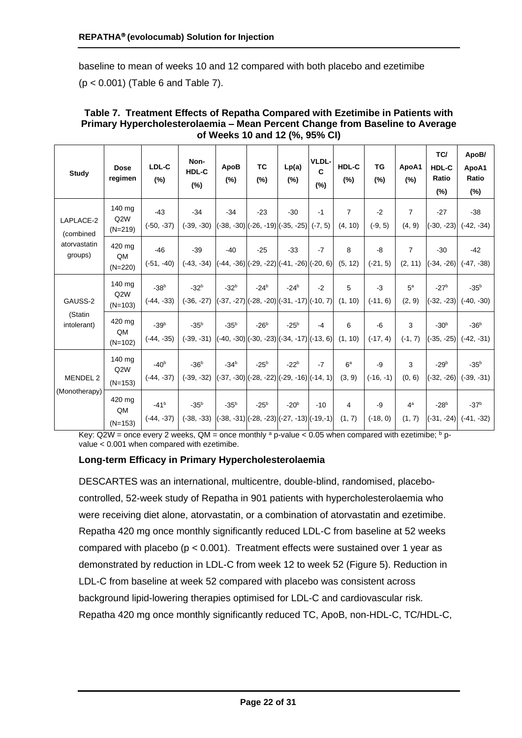baseline to mean of weeks 10 and 12 compared with both placebo and ezetimibe (p < 0.001) [\(Table 6](#page-20-0) and Table 7).

| Study                                             | <b>Dose</b><br>regimen                  | LDL-C<br>(%)           | Non-<br><b>HDL-C</b><br>(%) | ApoB<br>(%) | ТC<br>(%)                                                                                      | Lp(a)<br>$(\%)$ | VLDL-<br>$\mathbf{C}$<br>(%) | HDL-C<br>(%)              | TG<br>(%)          | ApoA1<br>(%)              | TC/<br>HDL-C<br>Ratio<br>(%) | ApoB/<br>ApoA1<br>Ratio<br>$(\%)$ |
|---------------------------------------------------|-----------------------------------------|------------------------|-----------------------------|-------------|------------------------------------------------------------------------------------------------|-----------------|------------------------------|---------------------------|--------------------|---------------------------|------------------------------|-----------------------------------|
| LAPLACE-2<br>(combined<br>atorvastatin<br>groups) | 140 mg<br>Q2W<br>$(N=219)$              | $-43$<br>$(-50, -37)$  | $-34$<br>$(-39, -30)$       | $-34$       | $-23$<br>$\left  (-38, -30) \right  (-26, -19) \left  (-35, -25) \right  (-7, 5)$              | $-30$           | -1                           | $\overline{7}$<br>(4, 10) | $-2$<br>$(-9, 5)$  | $\overline{7}$<br>(4, 9)  | $-27$<br>$(-30, -23)$        | $-38$<br>$(-42, -34)$             |
|                                                   | 420 mg<br>QM<br>$(N=220)$               | $-46$<br>$(-51, -40)$  | $-39$<br>$(-43, -34)$       | $-40$       | $-25$<br>$\left  (-44, -36) \right  (-29, -22) \left  (-41, -26) \right  (-20, 6)$             | $-33$           | $-7$                         | 8<br>(5, 12)              | -8<br>$(-21, 5)$   | $\overline{7}$<br>(2, 11) | $-30$<br>$(-34, -26)$        | $-42$<br>$(-47, -38)$             |
| GAUSS-2<br>(Statin<br>intolerant)                 | 140 mg<br>Q <sub>2</sub> W<br>$(N=103)$ | $-38b$<br>$(-44, -33)$ | $-32b$<br>$(-36, -27)$      | $-32b$      | $-24^{b}$<br>$\left  (-37, -27) \right  (-28, -20) \left  (-31, -17) \right  (-10, 7) \right $ | $-24b$          | $-2$                         | 5<br>(1, 10)              | $-3$<br>$(-11, 6)$ | 5 <sup>a</sup><br>(2, 9)  | $-27b$<br>$(-32, -23)$       | $-35b$<br>$(-40, -30)$            |
|                                                   | 420 mg<br>QM<br>$(N=102)$               | $-39b$<br>$(-44, -35)$ | $-35b$<br>$(-39, -31)$      | $-35b$      | $-26b$<br>$\left  (-40, -30) \right  (-30, -23) \left  (-34, -17) \right  (-13, 6)$            | $-25b$          | $-4$                         | 6<br>(1, 10)              | -6<br>$(-17, 4)$   | 3<br>$(-1, 7)$            | $-30b$<br>$(-35, -25)$       | $-36b$<br>$(-42, -31)$            |
| MENDEL 2<br>(Monotherapy)                         | 140 mg<br>Q2W<br>$(N=153)$              | $-40b$<br>$(-44, -37)$ | $-36b$<br>$(-39, -32)$      | $-34b$      | $-25b$<br>$\vert (-37, -30) \vert (-28, -22) \vert (-29, -16) \vert (-14, 1) \vert$            | $-22b$          | $-7$                         | 6 <sup>a</sup><br>(3, 9)  | -9<br>$(-16, -1)$  | 3<br>(0, 6)               | $-29b$<br>$(-32, -26)$       | $-35b$<br>$(-39, -31)$            |
|                                                   | 420 mg<br>QM<br>$(N=153)$               | $-41b$<br>$(-44, -37)$ | $-35b$<br>$(-38, -33)$      | $-35b$      | $-25b$<br>$((-38, -31), (28, -23), (27, -13), (29, -1))$                                       | $-20b$          | $-10$                        | 4<br>(1, 7)               | -9<br>$(-18, 0)$   | 4 <sup>a</sup><br>(1, 7)  | $-28b$<br>$(-31, -24)$       | $-37b$<br>$(-41, -32)$            |

#### <span id="page-21-0"></span>**Table 7. Treatment Effects of Repatha Compared with Ezetimibe in Patients with Primary Hypercholesterolaemia – Mean Percent Change from Baseline to Average of Weeks 10 and 12 (%, 95% CI)**

Key: Q2W = once every 2 weeks, QM = once monthly  $a$  p-value < 0.05 when compared with ezetimibe;  $b$  pvalue < 0.001 when compared with ezetimibe.

#### **Long-term Efficacy in Primary Hypercholesterolaemia**

DESCARTES was an international, multicentre, double-blind, randomised, placebocontrolled, 52-week study of Repatha in 901 patients with hypercholesterolaemia who were receiving diet alone, atorvastatin, or a combination of atorvastatin and ezetimibe. Repatha 420 mg once monthly significantly reduced LDL-C from baseline at 52 weeks compared with placebo ( $p < 0.001$ ). Treatment effects were sustained over 1 year as demonstrated by reduction in LDL-C from week 12 to week 52 (Figure 5). Reduction in LDL-C from baseline at week 52 compared with placebo was consistent across background lipid-lowering therapies optimised for LDL-C and cardiovascular risk. Repatha 420 mg once monthly significantly reduced TC, ApoB, non-HDL-C, TC/HDL-C,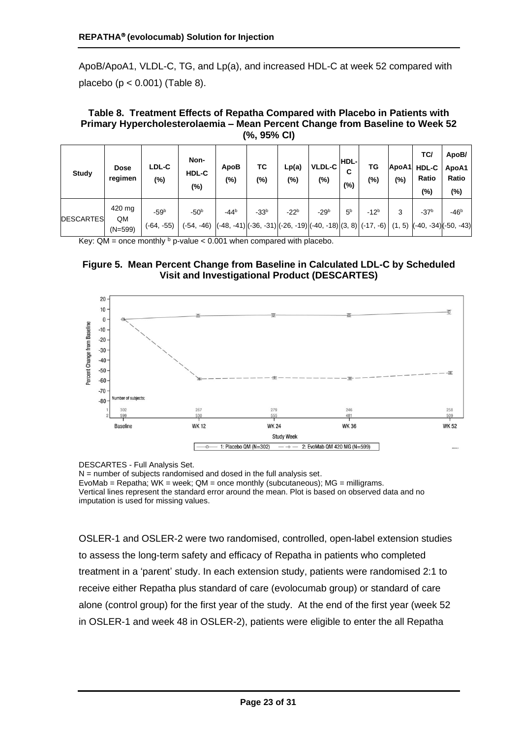ApoB/ApoA1, VLDL-C, TG, and Lp(a), and increased HDL-C at week 52 compared with placebo (p < 0.001) [\(Table 8](#page-22-0)).

<span id="page-22-0"></span>**Table 8. Treatment Effects of Repatha Compared with Placebo in Patients with Primary Hypercholesterolaemia – Mean Percent Change from Baseline to Week 52 (%, 95% CI)**

| Study            | <b>Dose</b><br>regimen    | LDL-C<br>(%)           | Non-<br>HDL-C<br>$(\%)$ | ApoB<br>(%) | ТC<br>$(\%)$                                                        | Lp(a)<br>$(\%)$ | VLDL-C<br>$(\%)$ | HDL-<br>С<br>$(\%)$ | ΤG<br>(%) | ApoA1<br>(%) | TC/<br><b>HDL-C</b><br>Ratio<br>(%) | ApoB/<br>ApoA1<br>Ratio<br>(%) |
|------------------|---------------------------|------------------------|-------------------------|-------------|---------------------------------------------------------------------|-----------------|------------------|---------------------|-----------|--------------|-------------------------------------|--------------------------------|
| <b>DESCARTES</b> | 420 mg<br>QM<br>$(N=599)$ | $-59b$<br>$(-64, -55)$ | $-50b$<br>$(-54, -46)$  | $-44^{b}$   | $-33b$<br>$(-48, -41)(-36, -31)(-26, -19)(-40, -18)(3, 8)(-17, -6)$ | $-22b$          | $-29b$           | 5 <sup>b</sup>      | $-12^{b}$ | 3<br>(1, 5)  | $-37b$<br>$(-40, -34)(-50, -43)$    | $-46b$                         |

Key:  $QM =$  once monthly  $\frac{b}{c}$  p-value < 0.001 when compared with placebo.





DESCARTES - Full Analysis Set.

 $N =$  number of subjects randomised and dosed in the full analysis set.

EvoMab = Repatha;  $WK = week$ ;  $QM = once monthly (subcutaneous)$ ;  $MG = milligrams$ . Vertical lines represent the standard error around the mean. Plot is based on observed data and no imputation is used for missing values.

OSLER-1 and OSLER-2 were two randomised, controlled, open-label extension studies to assess the long-term safety and efficacy of Repatha in patients who completed treatment in a 'parent' study. In each extension study, patients were randomised 2:1 to receive either Repatha plus standard of care (evolocumab group) or standard of care alone (control group) for the first year of the study. At the end of the first year (week 52 in OSLER-1 and week 48 in OSLER-2), patients were eligible to enter the all Repatha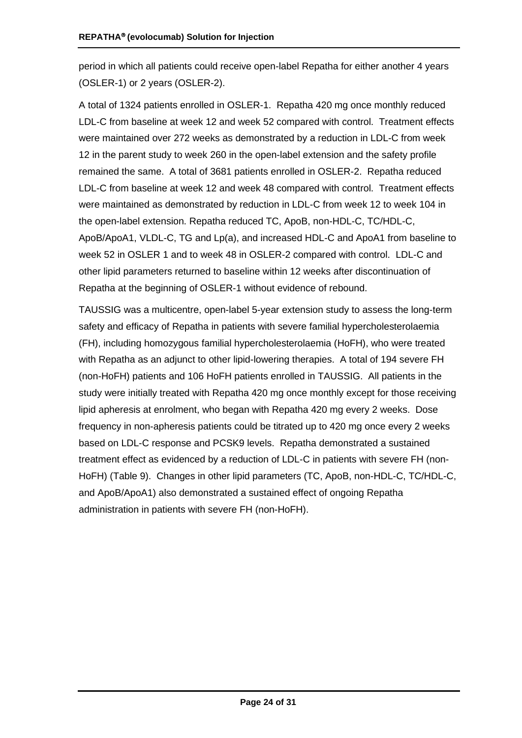period in which all patients could receive open-label Repatha for either another 4 years (OSLER-1) or 2 years (OSLER-2).

A total of 1324 patients enrolled in OSLER-1. Repatha 420 mg once monthly reduced LDL-C from baseline at week 12 and week 52 compared with control. Treatment effects were maintained over 272 weeks as demonstrated by a reduction in LDL-C from week 12 in the parent study to week 260 in the open-label extension and the safety profile remained the same. A total of 3681 patients enrolled in OSLER-2. Repatha reduced LDL-C from baseline at week 12 and week 48 compared with control. Treatment effects were maintained as demonstrated by reduction in LDL-C from week 12 to week 104 in the open-label extension. Repatha reduced TC, ApoB, non-HDL-C, TC/HDL-C, ApoB/ApoA1, VLDL-C, TG and Lp(a), and increased HDL-C and ApoA1 from baseline to week 52 in OSLER 1 and to week 48 in OSLER-2 compared with control. LDL-C and other lipid parameters returned to baseline within 12 weeks after discontinuation of Repatha at the beginning of OSLER-1 without evidence of rebound.

TAUSSIG was a multicentre, open-label 5-year extension study to assess the long-term safety and efficacy of Repatha in patients with severe familial hypercholesterolaemia (FH), including homozygous familial hypercholesterolaemia (HoFH), who were treated with Repatha as an adjunct to other lipid-lowering therapies. A total of 194 severe FH (non-HoFH) patients and 106 HoFH patients enrolled in TAUSSIG. All patients in the study were initially treated with Repatha 420 mg once monthly except for those receiving lipid apheresis at enrolment, who began with Repatha 420 mg every 2 weeks. Dose frequency in non-apheresis patients could be titrated up to 420 mg once every 2 weeks based on LDL-C response and PCSK9 levels. Repatha demonstrated a sustained treatment effect as evidenced by a reduction of LDL-C in patients with severe FH (non-HoFH) [\(Table 9\)](#page-24-0). Changes in other lipid parameters (TC, ApoB, non-HDL-C, TC/HDL-C, and ApoB/ApoA1) also demonstrated a sustained effect of ongoing Repatha administration in patients with severe FH (non-HoFH).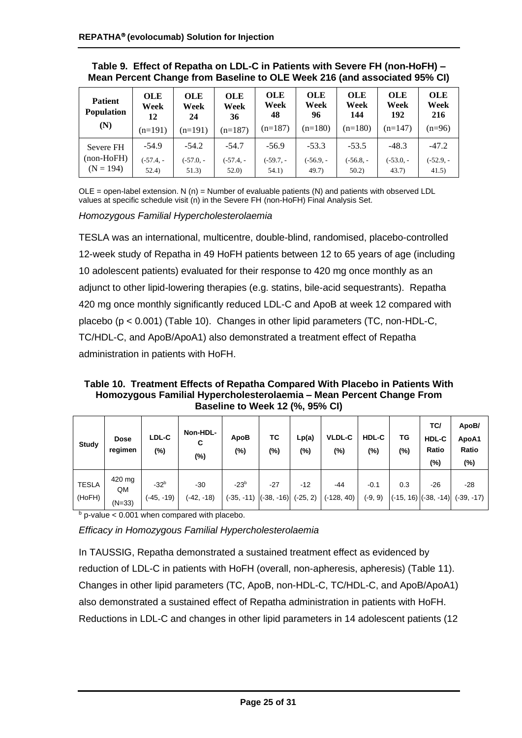| <b>Patient</b><br><b>Population</b><br>(N) | <b>OLE</b><br>Week<br>12<br>$(n=191)$ | <b>OLE</b><br>Week<br>24<br>$(n=191)$ | <b>OLE</b><br>Week<br>36<br>$(n=187)$ | <b>OLE</b><br>Week<br>48<br>$(n=187)$ | <b>OLE</b><br>Week<br>96<br>$(n=180)$ | <b>OLE</b><br>Week<br>144<br>$(n=180)$ | <b>OLE</b><br>Week<br>192<br>$(n=147)$ | OLE<br>Week<br>216<br>$(n=96)$ |
|--------------------------------------------|---------------------------------------|---------------------------------------|---------------------------------------|---------------------------------------|---------------------------------------|----------------------------------------|----------------------------------------|--------------------------------|
| Severe FH                                  | $-54.9$                               | $-54.2$                               | $-54.7$                               | $-56.9$                               | $-53.3$                               | $-53.5$                                | $-48.3$                                | $-47.2$                        |
| $(non-HoFH)$<br>$(N = 194)$                | $(-57.4, -$<br>52.4)                  | $(-57.0, -$<br>51.3)                  | $(-57.4, -$<br>52.0                   | $(-59.7, -$<br>54.1)                  | (-56.9. -<br>49.7)                    | (-56.8. -<br>50.2                      | (-53.0, -<br>43.7)                     | $(-52.9, -$<br>41.5)           |

<span id="page-24-0"></span>**Table 9. Effect of Repatha on LDL-C in Patients with Severe FH (non-HoFH) – Mean Percent Change from Baseline to OLE Week 216 (and associated 95% CI)**

 $OLE = open$ -label extension. N (n) = Number of evaluable patients (N) and patients with observed LDL values at specific schedule visit (n) in the Severe FH (non-HoFH) Final Analysis Set.

*Homozygous Familial Hypercholesterolaemia*

TESLA was an international, multicentre, double-blind, randomised, placebo-controlled 12-week study of Repatha in 49 HoFH patients between 12 to 65 years of age (including 10 adolescent patients) evaluated for their response to 420 mg once monthly as an adjunct to other lipid-lowering therapies (e.g. statins, bile-acid sequestrants). Repatha 420 mg once monthly significantly reduced LDL-C and ApoB at week 12 compared with placebo (p < 0.001) [\(Table 1](#page-24-1)0). Changes in other lipid parameters (TC, non-HDL-C, TC/HDL-C, and ApoB/ApoA1) also demonstrated a treatment effect of Repatha administration in patients with HoFH.

<span id="page-24-1"></span>**Table 10. Treatment Effects of Repatha Compared With Placebo in Patients With Homozygous Familial Hypercholesterolaemia – Mean Percent Change From Baseline to Week 12 (%, 95% CI)**

| <b>Study</b>           | <b>Dose</b><br>regimen   | LDL-C<br>$(\%)$        | Non-HDL-<br>С<br>$(\%)$ | ApoB<br>(%)                         | ТC<br>(%) | Lp(a)<br>$(\%)$     | <b>VLDL-C</b><br>(%)  | <b>HDL-C</b><br>(%) | TG<br>$(\%)$ | TC/<br><b>HDL-C</b><br>Ratio<br>(%) | ApoB/<br>ApoA1<br>Ratio<br>(%)                 |
|------------------------|--------------------------|------------------------|-------------------------|-------------------------------------|-----------|---------------------|-----------------------|---------------------|--------------|-------------------------------------|------------------------------------------------|
| <b>TESLA</b><br>(HoFH) | 420 mg<br>QM<br>$(N=33)$ | $-32b$<br>$(-45, -19)$ | $-30$<br>$(-42, -18)$   | $-23b$<br>$(-35, -11)$ $(-38, -16)$ | $-27$     | $-12$<br>$(-25, 2)$ | $-44$<br>$(-128, 40)$ | $-0.1$<br>$(-9, 9)$ | 0.3          | -26                                 | $-28$<br>$(-15, 16)$ $(-38, -14)$ $(-39, -17)$ |

 $b$  p-value < 0.001 when compared with placebo.

*Efficacy in Homozygous Familial Hypercholesterolaemia*

In TAUSSIG, Repatha demonstrated a sustained treatment effect as evidenced by reduction of LDL-C in patients with HoFH (overall, non-apheresis, apheresis) [\(Table 1](#page-25-0)1). Changes in other lipid parameters (TC, ApoB, non-HDL-C, TC/HDL-C, and ApoB/ApoA1) also demonstrated a sustained effect of Repatha administration in patients with HoFH. Reductions in LDL-C and changes in other lipid parameters in 14 adolescent patients (12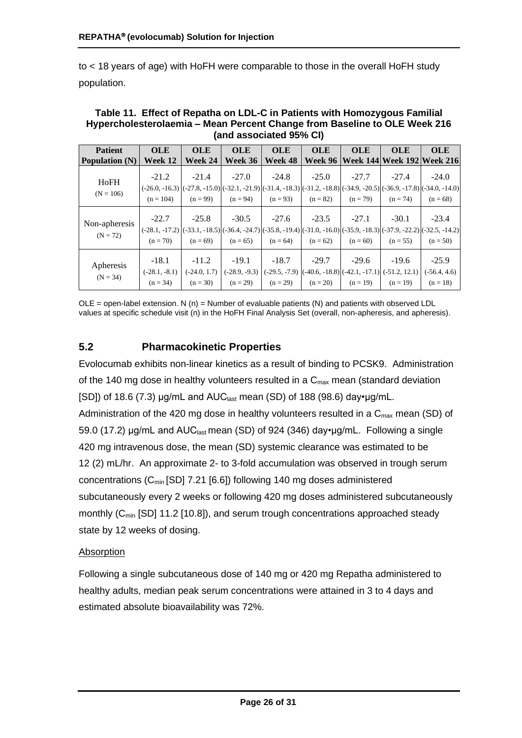to < 18 years of age) with HoFH were comparable to those in the overall HoFH study population.

| <b>Patient</b>              | <b>OLE</b>                                                                                                                                                               | <b>OLE</b>                              | <b>OLE</b>            | <b>OLE</b>            | <b>OLE</b>            | <b>OLE</b>                                                                                                 | <b>OLE</b>                 | <b>OLE</b>                              |
|-----------------------------|--------------------------------------------------------------------------------------------------------------------------------------------------------------------------|-----------------------------------------|-----------------------|-----------------------|-----------------------|------------------------------------------------------------------------------------------------------------|----------------------------|-----------------------------------------|
| <b>Population</b> (N)       | Week 12                                                                                                                                                                  | Week 24                                 | Week 36               | <b>Week 48</b>        | Week 96               |                                                                                                            | Week 144 Week 192 Week 216 |                                         |
| HoFH<br>$(N = 106)$         | $-21.2$<br>$(-26.0, -16.3)$ $(-27.8, -15.0)$ $(-32.1, -21.9)$ $(-31.4, -18.3)$ $(-31.2, -18.8)$ $(-34.9, -20.5)$ $(-36.9, -17.8)$ $(-34.0, -14.0)$<br>$(n = 104)$        | $-21.4$<br>$(n = 99)$                   | $-27.0$<br>$(n = 94)$ | $-24.8$<br>$(n = 93)$ | $-25.0$<br>$(n = 82)$ | $-27.7$<br>$(n = 79)$                                                                                      | $-27.4$<br>$(n = 74)$      | $-24.0$<br>$(n = 68)$                   |
| Non-apheresis<br>$(N = 72)$ | $-22.7$<br>$(-28.1, -17.2)$ $[(-33.1, -18.5)]$ $(-36.4, -24.7)$ $[(-35.8, -19.4)]$ $(-31.0, -16.0)$ $[(-35.9, -18.3)]$ $(-37.9, -22.2)$ $[(-32.5, -14.2)]$<br>$(n = 70)$ | $-25.8$<br>$(n = 69)$                   | $-30.5$<br>$(n = 65)$ | $-27.6$<br>$(n = 64)$ | $-23.5$<br>$(n = 62)$ | $-27.1$<br>$(n = 60)$                                                                                      | $-30.1$<br>$(n = 55)$      | $-23.4$<br>$(n = 50)$                   |
| Apheresis<br>$(N = 34)$     | $-18.1$<br>$(-28.1, -8.1)$<br>$(n = 34)$                                                                                                                                 | $-11.2$<br>$(-24.0, 1.7)$<br>$(n = 30)$ | $-19.1$<br>$(n = 29)$ | $-18.7$<br>$(n = 29)$ | $-29.7$<br>$(n = 20)$ | $-29.6$<br>$(-28.9, -9.3)$ $(-29.5, -7.9)$ $(-40.6, -18.8)$ $(-42.1, -17.1)$ $(-51.2, 12.1)$<br>$(n = 19)$ | $-19.6$<br>$(n = 19)$      | $-25.9$<br>$(-56.4, 4.6)$<br>$(n = 18)$ |

<span id="page-25-0"></span>**Table 11. Effect of Repatha on LDL-C in Patients with Homozygous Familial Hypercholesterolaemia – Mean Percent Change from Baseline to OLE Week 216 (and associated 95% CI)**

 $OLE = open$ -label extension. N (n) = Number of evaluable patients (N) and patients with observed LDL values at specific schedule visit (n) in the HoFH Final Analysis Set (overall, non-apheresis, and apheresis).

## **5.2 Pharmacokinetic Properties**

Evolocumab exhibits non-linear kinetics as a result of binding to PCSK9. Administration of the 140 mg dose in healthy volunteers resulted in a  $C_{\text{max}}$  mean (standard deviation [SD]) of 18.6 (7.3)  $\mu$ g/mL and AUC<sub>last</sub> mean (SD) of 188 (98.6) day• $\mu$ g/mL. Administration of the 420 mg dose in healthy volunteers resulted in a  $C_{\text{max}}$  mean (SD) of 59.0 (17.2) μg/mL and AUC<sub>last</sub> mean (SD) of 924 (346) day•µg/mL. Following a single 420 mg intravenous dose, the mean (SD) systemic clearance was estimated to be 12 (2) mL/hr. An approximate 2- to 3-fold accumulation was observed in trough serum concentrations (C<sub>min</sub> [SD] 7.21 [6.6]) following 140 mg doses administered subcutaneously every 2 weeks or following 420 mg doses administered subcutaneously monthly (C<sub>min</sub> [SD] 11.2 [10.8]), and serum trough concentrations approached steady state by 12 weeks of dosing.

#### Absorption

Following a single subcutaneous dose of 140 mg or 420 mg Repatha administered to healthy adults, median peak serum concentrations were attained in 3 to 4 days and estimated absolute bioavailability was 72%.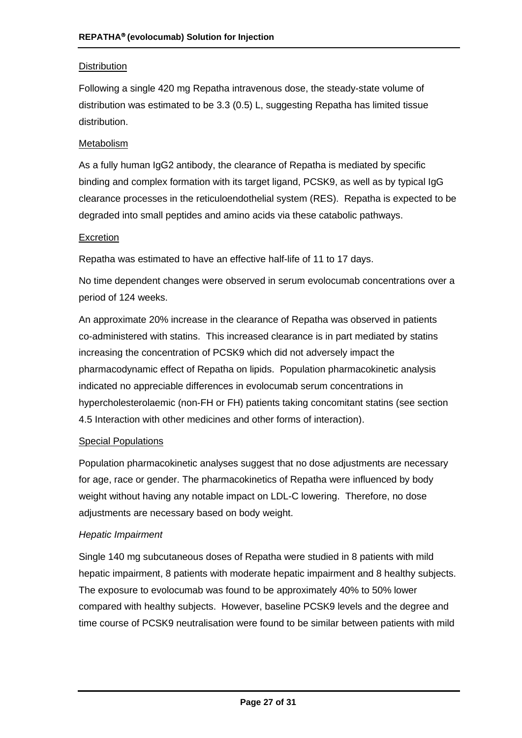## **Distribution**

Following a single 420 mg Repatha intravenous dose, the steady-state volume of distribution was estimated to be 3.3 (0.5) L, suggesting Repatha has limited tissue distribution.

#### **Metabolism**

As a fully human IgG2 antibody, the clearance of Repatha is mediated by specific binding and complex formation with its target ligand, PCSK9, as well as by typical IgG clearance processes in the reticuloendothelial system (RES). Repatha is expected to be degraded into small peptides and amino acids via these catabolic pathways.

#### Excretion

Repatha was estimated to have an effective half-life of 11 to 17 days.

No time dependent changes were observed in serum evolocumab concentrations over a period of 124 weeks.

An approximate 20% increase in the clearance of Repatha was observed in patients co-administered with statins. This increased clearance is in part mediated by statins increasing the concentration of PCSK9 which did not adversely impact the pharmacodynamic effect of Repatha on lipids. Population pharmacokinetic analysis indicated no appreciable differences in evolocumab serum concentrations in hypercholesterolaemic (non-FH or FH) patients taking concomitant statins (see section 4.5 Interaction with other medicines and other forms of interaction).

#### Special Populations

Population pharmacokinetic analyses suggest that no dose adjustments are necessary for age, race or gender. The pharmacokinetics of Repatha were influenced by body weight without having any notable impact on LDL-C lowering. Therefore, no dose adjustments are necessary based on body weight.

#### *Hepatic Impairment*

Single 140 mg subcutaneous doses of Repatha were studied in 8 patients with mild hepatic impairment, 8 patients with moderate hepatic impairment and 8 healthy subjects. The exposure to evolocumab was found to be approximately 40% to 50% lower compared with healthy subjects. However, baseline PCSK9 levels and the degree and time course of PCSK9 neutralisation were found to be similar between patients with mild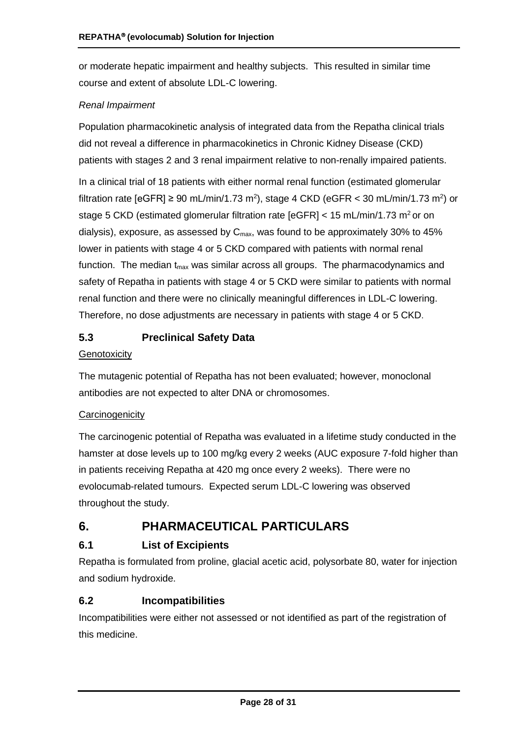or moderate hepatic impairment and healthy subjects. This resulted in similar time course and extent of absolute LDL-C lowering.

#### *Renal Impairment*

Population pharmacokinetic analysis of integrated data from the Repatha clinical trials did not reveal a difference in pharmacokinetics in Chronic Kidney Disease (CKD) patients with stages 2 and 3 renal impairment relative to non-renally impaired patients.

In a clinical trial of 18 patients with either normal renal function (estimated glomerular filtration rate [eGFR]  $\geq 90$  mL/min/1.73 m<sup>2</sup>), stage 4 CKD (eGFR < 30 mL/min/1.73 m<sup>2</sup>) or stage 5 CKD (estimated glomerular filtration rate [eGFR] < 15 mL/min/1.73 m<sup>2</sup> or on dialysis), exposure, as assessed by  $C_{\text{max}}$ , was found to be approximately 30% to 45% lower in patients with stage 4 or 5 CKD compared with patients with normal renal function. The median  $t_{max}$  was similar across all groups. The pharmacodynamics and safety of Repatha in patients with stage 4 or 5 CKD were similar to patients with normal renal function and there were no clinically meaningful differences in LDL-C lowering. Therefore, no dose adjustments are necessary in patients with stage 4 or 5 CKD.

## **5.3 Preclinical Safety Data**

#### **Genotoxicity**

The mutagenic potential of Repatha has not been evaluated; however, monoclonal antibodies are not expected to alter DNA or chromosomes.

#### **Carcinogenicity**

The carcinogenic potential of Repatha was evaluated in a lifetime study conducted in the hamster at dose levels up to 100 mg/kg every 2 weeks (AUC exposure 7-fold higher than in patients receiving Repatha at 420 mg once every 2 weeks). There were no evolocumab-related tumours. Expected serum LDL-C lowering was observed throughout the study.

## **6. PHARMACEUTICAL PARTICULARS**

## **6.1 List of Excipients**

Repatha is formulated from proline, glacial acetic acid, polysorbate 80, water for injection and sodium hydroxide.

#### **6.2 Incompatibilities**

Incompatibilities were either not assessed or not identified as part of the registration of this medicine.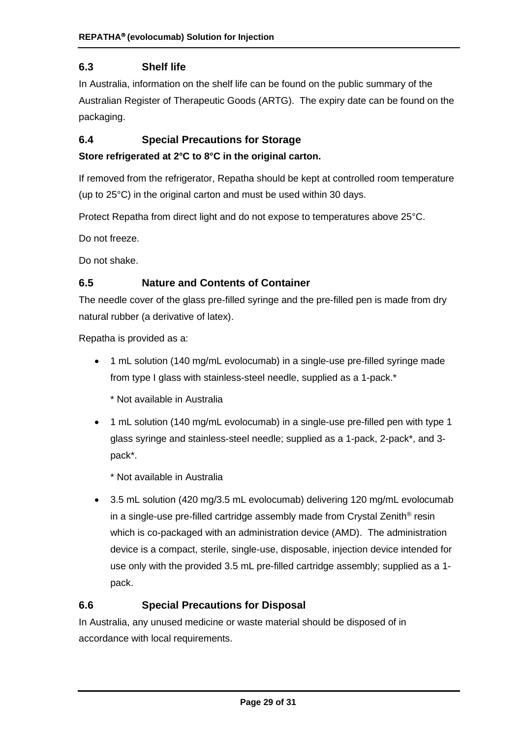## **6.3 Shelf life**

In Australia, information on the shelf life can be found on the public summary of the Australian Register of Therapeutic Goods (ARTG). The expiry date can be found on the packaging.

## **6.4 Special Precautions for Storage**

#### **Store refrigerated at 2°C to 8°C in the original carton.**

If removed from the refrigerator, Repatha should be kept at controlled room temperature (up to 25°C) in the original carton and must be used within 30 days.

Protect Repatha from direct light and do not expose to temperatures above 25°C.

Do not freeze.

Do not shake.

#### **6.5 Nature and Contents of Container**

The needle cover of the glass pre-filled syringe and the pre-filled pen is made from dry natural rubber (a derivative of latex).

Repatha is provided as a:

- 1 mL solution (140 mg/mL evolocumab) in a single-use pre-filled syringe made from type I glass with stainless-steel needle, supplied as a 1-pack.\*
	- \* Not available in Australia
- 1 mL solution (140 mg/mL evolocumab) in a single-use pre-filled pen with type 1 glass syringe and stainless-steel needle; supplied as a 1-pack, 2-pack\*, and 3 pack\*.

\* Not available in Australia

• 3.5 mL solution (420 mg/3.5 mL evolocumab) delivering 120 mg/mL evolocumab in a single-use pre-filled cartridge assembly made from Crystal Zenith<sup>®</sup> resin which is co-packaged with an administration device (AMD). The administration device is a compact, sterile, single-use, disposable, injection device intended for use only with the provided 3.5 mL pre-filled cartridge assembly; supplied as a 1 pack.

#### **6.6 Special Precautions for Disposal**

In Australia, any unused medicine or waste material should be disposed of in accordance with local requirements.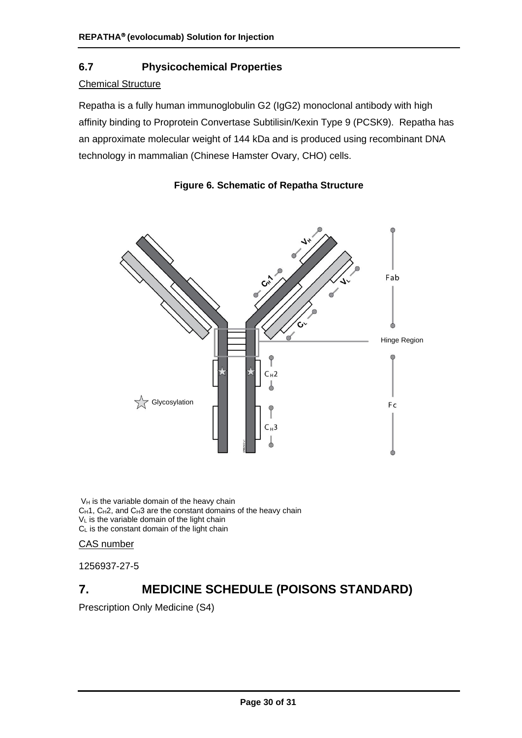## **6.7 Physicochemical Properties**

## **Chemical Structure**

Repatha is a fully human immunoglobulin G2 (IgG2) monoclonal antibody with high affinity binding to Proprotein Convertase Subtilisin/Kexin Type 9 (PCSK9). Repatha has an approximate molecular weight of 144 kDa and is produced using recombinant DNA technology in mammalian (Chinese Hamster Ovary, CHO) cells.



## **Figure 6. Schematic of Repatha Structure**

 $V_H$  is the variable domain of the heavy chain CH1, CH2, and CH3 are the constant domains of the heavy chain V<sub>L</sub> is the variable domain of the light chain  $C_L$  is the constant domain of the light chain

#### CAS number

1256937-27-5

# **7. MEDICINE SCHEDULE (POISONS STANDARD)**

Prescription Only Medicine (S4)